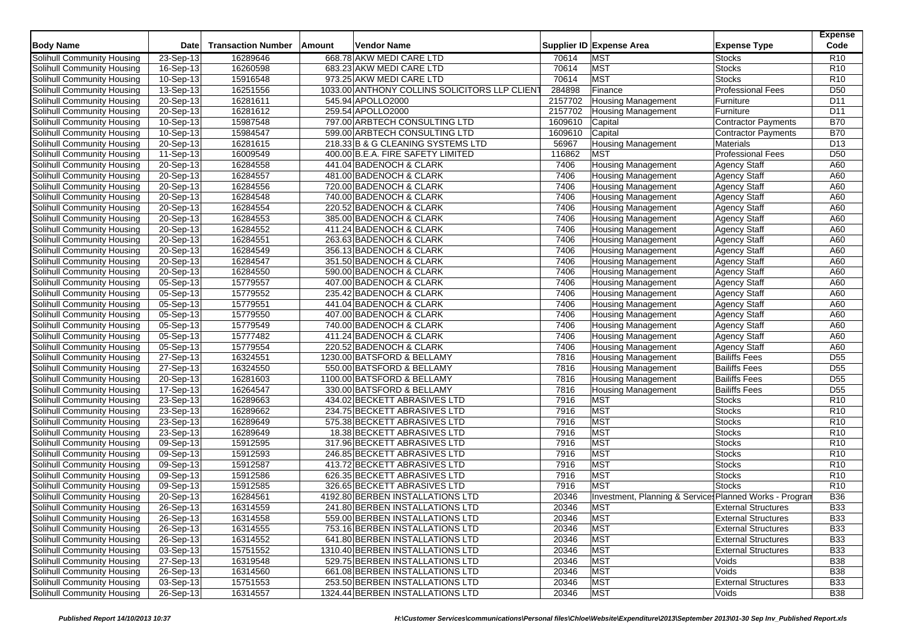| <b>Body Name</b><br><b>Transaction Number</b><br>Supplier ID Expense Area<br><b>Vendor Name</b><br><b>Expense Type</b><br>Date<br>Amount<br>668.78 AKW MEDI CARE LTD<br><b>MST</b><br>Solihull Community Housing<br>23-Sep-13<br>16289646<br>70614<br><b>Stocks</b><br><b>MST</b><br>16-Sep-13<br>16260598<br>683.23 AKW MEDI CARE LTD<br>70614<br><b>Stocks</b><br>Solihull Community Housing<br>15916548<br>70614<br><b>MST</b><br>10-Sep-13<br>973.25 AKW MEDI CARE LTD<br><b>Stocks</b><br>Solihull Community Housing<br>$13-$ Sep-13<br>16251556<br>1033.00 ANTHONY COLLINS SOLICITORS LLP CLIENT<br>284898<br>Finance<br><b>Professional Fees</b><br>Solihull Community Housing<br>20-Sep-13<br>16281611<br>545.94 APOLLO2000<br>2157702<br>Solihull Community Housing<br><b>Housing Management</b><br>Furniture<br>20-Sep-13<br>16281612<br>259.54 APOLLO2000<br>2157702<br>Furniture<br>Solihull Community Housing<br><b>Housing Management</b><br>$10-Sep-13$<br>15987548<br>797.00 ARBTECH CONSULTING LTD<br>1609610<br>Solihull Community Housing<br>Capital<br><b>Contractor Payments</b><br>$10-Sep-13$<br>15984547<br>599.00 ARBTECH CONSULTING LTD<br>1609610<br>Solihull Community Housing<br>Capital<br>Contractor Payments<br>Solihull Community Housing<br>20-Sep-13<br>16281615<br>218.33 B & G CLEANING SYSTEMS LTD<br>56967<br><b>Housing Management</b><br><b>Materials</b><br>116862<br>16009549<br><b>MST</b><br><b>Professional Fees</b><br>Solihull Community Housing<br>11-Sep-13<br>400.00 B.E.A. FIRE SAFETY LIMITED<br>$\overline{20}$ -Sep-13<br>16284558<br>441.04 BADENOCH & CLARK<br>7406<br><b>Housing Management</b><br>Solihull Community Housing<br><b>Agency Staff</b><br>16284557<br>Solihull Community Housing<br>20-Sep-13<br>481.00 BADENOCH & CLARK<br>7406<br><b>Housing Management</b><br><b>Agency Staff</b> | Code<br>R10<br>R <sub>10</sub><br>R <sub>10</sub><br>D <sub>50</sub><br>D11<br>D <sub>11</sub><br><b>B70</b><br><b>B70</b><br>D <sub>13</sub><br>D <sub>50</sub><br>A60<br>A60<br>A60<br>A60<br>A60<br>A60<br>A60<br>A60<br>A60<br>A60 |
|--------------------------------------------------------------------------------------------------------------------------------------------------------------------------------------------------------------------------------------------------------------------------------------------------------------------------------------------------------------------------------------------------------------------------------------------------------------------------------------------------------------------------------------------------------------------------------------------------------------------------------------------------------------------------------------------------------------------------------------------------------------------------------------------------------------------------------------------------------------------------------------------------------------------------------------------------------------------------------------------------------------------------------------------------------------------------------------------------------------------------------------------------------------------------------------------------------------------------------------------------------------------------------------------------------------------------------------------------------------------------------------------------------------------------------------------------------------------------------------------------------------------------------------------------------------------------------------------------------------------------------------------------------------------------------------------------------------------------------------------------------------------------------------------------------------------------------------------------------------|----------------------------------------------------------------------------------------------------------------------------------------------------------------------------------------------------------------------------------------|
|                                                                                                                                                                                                                                                                                                                                                                                                                                                                                                                                                                                                                                                                                                                                                                                                                                                                                                                                                                                                                                                                                                                                                                                                                                                                                                                                                                                                                                                                                                                                                                                                                                                                                                                                                                                                                                                              |                                                                                                                                                                                                                                        |
|                                                                                                                                                                                                                                                                                                                                                                                                                                                                                                                                                                                                                                                                                                                                                                                                                                                                                                                                                                                                                                                                                                                                                                                                                                                                                                                                                                                                                                                                                                                                                                                                                                                                                                                                                                                                                                                              |                                                                                                                                                                                                                                        |
|                                                                                                                                                                                                                                                                                                                                                                                                                                                                                                                                                                                                                                                                                                                                                                                                                                                                                                                                                                                                                                                                                                                                                                                                                                                                                                                                                                                                                                                                                                                                                                                                                                                                                                                                                                                                                                                              |                                                                                                                                                                                                                                        |
|                                                                                                                                                                                                                                                                                                                                                                                                                                                                                                                                                                                                                                                                                                                                                                                                                                                                                                                                                                                                                                                                                                                                                                                                                                                                                                                                                                                                                                                                                                                                                                                                                                                                                                                                                                                                                                                              |                                                                                                                                                                                                                                        |
|                                                                                                                                                                                                                                                                                                                                                                                                                                                                                                                                                                                                                                                                                                                                                                                                                                                                                                                                                                                                                                                                                                                                                                                                                                                                                                                                                                                                                                                                                                                                                                                                                                                                                                                                                                                                                                                              |                                                                                                                                                                                                                                        |
|                                                                                                                                                                                                                                                                                                                                                                                                                                                                                                                                                                                                                                                                                                                                                                                                                                                                                                                                                                                                                                                                                                                                                                                                                                                                                                                                                                                                                                                                                                                                                                                                                                                                                                                                                                                                                                                              |                                                                                                                                                                                                                                        |
|                                                                                                                                                                                                                                                                                                                                                                                                                                                                                                                                                                                                                                                                                                                                                                                                                                                                                                                                                                                                                                                                                                                                                                                                                                                                                                                                                                                                                                                                                                                                                                                                                                                                                                                                                                                                                                                              |                                                                                                                                                                                                                                        |
|                                                                                                                                                                                                                                                                                                                                                                                                                                                                                                                                                                                                                                                                                                                                                                                                                                                                                                                                                                                                                                                                                                                                                                                                                                                                                                                                                                                                                                                                                                                                                                                                                                                                                                                                                                                                                                                              |                                                                                                                                                                                                                                        |
|                                                                                                                                                                                                                                                                                                                                                                                                                                                                                                                                                                                                                                                                                                                                                                                                                                                                                                                                                                                                                                                                                                                                                                                                                                                                                                                                                                                                                                                                                                                                                                                                                                                                                                                                                                                                                                                              |                                                                                                                                                                                                                                        |
|                                                                                                                                                                                                                                                                                                                                                                                                                                                                                                                                                                                                                                                                                                                                                                                                                                                                                                                                                                                                                                                                                                                                                                                                                                                                                                                                                                                                                                                                                                                                                                                                                                                                                                                                                                                                                                                              |                                                                                                                                                                                                                                        |
|                                                                                                                                                                                                                                                                                                                                                                                                                                                                                                                                                                                                                                                                                                                                                                                                                                                                                                                                                                                                                                                                                                                                                                                                                                                                                                                                                                                                                                                                                                                                                                                                                                                                                                                                                                                                                                                              |                                                                                                                                                                                                                                        |
|                                                                                                                                                                                                                                                                                                                                                                                                                                                                                                                                                                                                                                                                                                                                                                                                                                                                                                                                                                                                                                                                                                                                                                                                                                                                                                                                                                                                                                                                                                                                                                                                                                                                                                                                                                                                                                                              |                                                                                                                                                                                                                                        |
|                                                                                                                                                                                                                                                                                                                                                                                                                                                                                                                                                                                                                                                                                                                                                                                                                                                                                                                                                                                                                                                                                                                                                                                                                                                                                                                                                                                                                                                                                                                                                                                                                                                                                                                                                                                                                                                              |                                                                                                                                                                                                                                        |
| 16284556<br>7406<br>Solihull Community Housing<br>20-Sep-13<br>720.00 BADENOCH & CLARK<br>Housing Management<br><b>Agency Staff</b>                                                                                                                                                                                                                                                                                                                                                                                                                                                                                                                                                                                                                                                                                                                                                                                                                                                                                                                                                                                                                                                                                                                                                                                                                                                                                                                                                                                                                                                                                                                                                                                                                                                                                                                          |                                                                                                                                                                                                                                        |
| 20-Sep-13<br>16284548<br>7406<br><b>Housing Management</b><br><b>Agency Staff</b><br>Solihull Community Housing<br>740.00 BADENOCH & CLARK                                                                                                                                                                                                                                                                                                                                                                                                                                                                                                                                                                                                                                                                                                                                                                                                                                                                                                                                                                                                                                                                                                                                                                                                                                                                                                                                                                                                                                                                                                                                                                                                                                                                                                                   |                                                                                                                                                                                                                                        |
| 20-Sep-13<br>16284554<br>220.52 BADENOCH & CLARK<br>7406<br>Solihull Community Housing<br><b>Housing Management</b><br><b>Agency Staff</b>                                                                                                                                                                                                                                                                                                                                                                                                                                                                                                                                                                                                                                                                                                                                                                                                                                                                                                                                                                                                                                                                                                                                                                                                                                                                                                                                                                                                                                                                                                                                                                                                                                                                                                                   |                                                                                                                                                                                                                                        |
| Solihull Community Housing<br>20-Sep-13<br>16284553<br>385.00 BADENOCH & CLARK<br>7406<br><b>Housing Management</b><br><b>Agency Staff</b>                                                                                                                                                                                                                                                                                                                                                                                                                                                                                                                                                                                                                                                                                                                                                                                                                                                                                                                                                                                                                                                                                                                                                                                                                                                                                                                                                                                                                                                                                                                                                                                                                                                                                                                   |                                                                                                                                                                                                                                        |
| 16284552<br>Solihull Community Housing<br>20-Sep-13<br>411.24 BADENOCH & CLARK<br>7406<br><b>Housing Management</b><br><b>Agency Staff</b>                                                                                                                                                                                                                                                                                                                                                                                                                                                                                                                                                                                                                                                                                                                                                                                                                                                                                                                                                                                                                                                                                                                                                                                                                                                                                                                                                                                                                                                                                                                                                                                                                                                                                                                   |                                                                                                                                                                                                                                        |
| 16284551<br>Solihull Community Housing<br>20-Sep-13<br>263.63 BADENOCH & CLARK<br>7406<br><b>Housing Management</b><br><b>Agency Staff</b>                                                                                                                                                                                                                                                                                                                                                                                                                                                                                                                                                                                                                                                                                                                                                                                                                                                                                                                                                                                                                                                                                                                                                                                                                                                                                                                                                                                                                                                                                                                                                                                                                                                                                                                   |                                                                                                                                                                                                                                        |
| Solihull Community Housing<br>20-Sep-13<br>16284549<br>356.13 BADENOCH & CLARK<br>7406<br>Housing Management<br><b>Agency Staff</b>                                                                                                                                                                                                                                                                                                                                                                                                                                                                                                                                                                                                                                                                                                                                                                                                                                                                                                                                                                                                                                                                                                                                                                                                                                                                                                                                                                                                                                                                                                                                                                                                                                                                                                                          |                                                                                                                                                                                                                                        |
| 16284547<br>7406<br><b>Agency Staff</b><br>Solihull Community Housing<br>20-Sep-13<br>351.50 BADENOCH & CLARK<br><b>Housing Management</b>                                                                                                                                                                                                                                                                                                                                                                                                                                                                                                                                                                                                                                                                                                                                                                                                                                                                                                                                                                                                                                                                                                                                                                                                                                                                                                                                                                                                                                                                                                                                                                                                                                                                                                                   |                                                                                                                                                                                                                                        |
| 7406<br>Solihull Community Housing<br>20-Sep-13<br>16284550<br>590.00 BADENOCH & CLARK<br><b>Housing Management</b><br><b>Agency Staff</b>                                                                                                                                                                                                                                                                                                                                                                                                                                                                                                                                                                                                                                                                                                                                                                                                                                                                                                                                                                                                                                                                                                                                                                                                                                                                                                                                                                                                                                                                                                                                                                                                                                                                                                                   | A60                                                                                                                                                                                                                                    |
| $05-Sep-13$<br>15779557<br>7406<br>Solihull Community Housing<br>407.00 BADENOCH & CLARK<br><b>Housing Management</b><br>Agency Staff                                                                                                                                                                                                                                                                                                                                                                                                                                                                                                                                                                                                                                                                                                                                                                                                                                                                                                                                                                                                                                                                                                                                                                                                                                                                                                                                                                                                                                                                                                                                                                                                                                                                                                                        | A60                                                                                                                                                                                                                                    |
| 15779552<br>235.42 BADENOCH & CLARK<br>7406<br><b>Agency Staff</b><br>Solihull Community Housing<br>05-Sep-13<br><b>Housing Management</b>                                                                                                                                                                                                                                                                                                                                                                                                                                                                                                                                                                                                                                                                                                                                                                                                                                                                                                                                                                                                                                                                                                                                                                                                                                                                                                                                                                                                                                                                                                                                                                                                                                                                                                                   | A60                                                                                                                                                                                                                                    |
| 15779551<br>Solihull Community Housing<br>05-Sep-13<br>441.04 BADENOCH & CLARK<br>7406<br><b>Housing Management</b><br><b>Agency Staff</b>                                                                                                                                                                                                                                                                                                                                                                                                                                                                                                                                                                                                                                                                                                                                                                                                                                                                                                                                                                                                                                                                                                                                                                                                                                                                                                                                                                                                                                                                                                                                                                                                                                                                                                                   | A60                                                                                                                                                                                                                                    |
| $05-Sep-13$<br>15779550<br>7406<br>Agency Staff<br>Solihull Community Housing<br>407.00 BADENOCH & CLARK<br><b>Housing Management</b>                                                                                                                                                                                                                                                                                                                                                                                                                                                                                                                                                                                                                                                                                                                                                                                                                                                                                                                                                                                                                                                                                                                                                                                                                                                                                                                                                                                                                                                                                                                                                                                                                                                                                                                        | A60                                                                                                                                                                                                                                    |
| 15779549<br>740.00 BADENOCH & CLARK<br>7406<br>Agency Staff<br>Solihull Community Housing<br>05-Sep-13<br><b>Housing Management</b>                                                                                                                                                                                                                                                                                                                                                                                                                                                                                                                                                                                                                                                                                                                                                                                                                                                                                                                                                                                                                                                                                                                                                                                                                                                                                                                                                                                                                                                                                                                                                                                                                                                                                                                          | A60                                                                                                                                                                                                                                    |
| 05-Sep-13<br>15777482<br>7406<br><b>Housing Management</b><br><b>Agency Staff</b><br>Solihull Community Housing<br>411.24 BADENOCH & CLARK                                                                                                                                                                                                                                                                                                                                                                                                                                                                                                                                                                                                                                                                                                                                                                                                                                                                                                                                                                                                                                                                                                                                                                                                                                                                                                                                                                                                                                                                                                                                                                                                                                                                                                                   | A60                                                                                                                                                                                                                                    |
| 05-Sep-13<br>15779554<br>220.52 BADENOCH & CLARK<br>7406<br>Agency Staff<br>Solihull Community Housing<br><b>Housing Management</b>                                                                                                                                                                                                                                                                                                                                                                                                                                                                                                                                                                                                                                                                                                                                                                                                                                                                                                                                                                                                                                                                                                                                                                                                                                                                                                                                                                                                                                                                                                                                                                                                                                                                                                                          | A60                                                                                                                                                                                                                                    |
| 16324551<br>7816<br><b>Bailiffs Fees</b><br>Solihull Community Housing<br>27-Sep-13<br>1230.00 BATSFORD & BELLAMY<br><b>Housing Management</b>                                                                                                                                                                                                                                                                                                                                                                                                                                                                                                                                                                                                                                                                                                                                                                                                                                                                                                                                                                                                                                                                                                                                                                                                                                                                                                                                                                                                                                                                                                                                                                                                                                                                                                               | D <sub>55</sub>                                                                                                                                                                                                                        |
| Solihull Community Housing<br>27-Sep-13<br>16324550<br>550.00 BATSFORD & BELLAMY<br>7816<br><b>Housing Management</b><br><b>Bailiffs Fees</b>                                                                                                                                                                                                                                                                                                                                                                                                                                                                                                                                                                                                                                                                                                                                                                                                                                                                                                                                                                                                                                                                                                                                                                                                                                                                                                                                                                                                                                                                                                                                                                                                                                                                                                                | D <sub>55</sub>                                                                                                                                                                                                                        |
| 20-Sep-13<br>16281603<br>1100.00 BATSFORD & BELLAMY<br>7816<br><b>Bailiffs Fees</b><br>Solihull Community Housing<br><b>Housing Management</b>                                                                                                                                                                                                                                                                                                                                                                                                                                                                                                                                                                                                                                                                                                                                                                                                                                                                                                                                                                                                                                                                                                                                                                                                                                                                                                                                                                                                                                                                                                                                                                                                                                                                                                               | D <sub>55</sub>                                                                                                                                                                                                                        |
| 16264547<br>7816<br><b>Bailiffs Fees</b><br>Solihull Community Housing<br>17-Sep-13<br>330.00 BATSFORD & BELLAMY<br><b>Housing Management</b>                                                                                                                                                                                                                                                                                                                                                                                                                                                                                                                                                                                                                                                                                                                                                                                                                                                                                                                                                                                                                                                                                                                                                                                                                                                                                                                                                                                                                                                                                                                                                                                                                                                                                                                | D <sub>55</sub>                                                                                                                                                                                                                        |
| 23-Sep-13<br>434.02 BECKETT ABRASIVES LTD<br>7916<br><b>MST</b><br>Stocks<br>Solihull Community Housing<br>16289663                                                                                                                                                                                                                                                                                                                                                                                                                                                                                                                                                                                                                                                                                                                                                                                                                                                                                                                                                                                                                                                                                                                                                                                                                                                                                                                                                                                                                                                                                                                                                                                                                                                                                                                                          | R <sub>10</sub>                                                                                                                                                                                                                        |
| <b>MST</b><br>23-Sep-13<br>16289662<br>234.75 BECKETT ABRASIVES LTD<br>7916<br>Solihull Community Housing<br><b>Stocks</b>                                                                                                                                                                                                                                                                                                                                                                                                                                                                                                                                                                                                                                                                                                                                                                                                                                                                                                                                                                                                                                                                                                                                                                                                                                                                                                                                                                                                                                                                                                                                                                                                                                                                                                                                   | R <sub>10</sub>                                                                                                                                                                                                                        |
| 16289649<br><b>MST</b><br>23-Sep-13<br>575.38 BECKETT ABRASIVES LTD<br>7916<br><b>Stocks</b><br>Solihull Community Housing                                                                                                                                                                                                                                                                                                                                                                                                                                                                                                                                                                                                                                                                                                                                                                                                                                                                                                                                                                                                                                                                                                                                                                                                                                                                                                                                                                                                                                                                                                                                                                                                                                                                                                                                   | R <sub>10</sub>                                                                                                                                                                                                                        |
| <b>MST</b><br>$23-Sep-13$<br>16289649<br>18.38 BECKETT ABRASIVES LTD<br>7916<br><b>Stocks</b><br>Solihull Community Housing                                                                                                                                                                                                                                                                                                                                                                                                                                                                                                                                                                                                                                                                                                                                                                                                                                                                                                                                                                                                                                                                                                                                                                                                                                                                                                                                                                                                                                                                                                                                                                                                                                                                                                                                  | R <sub>10</sub>                                                                                                                                                                                                                        |
| <b>MST</b><br>09-Sep-13<br>15912595<br>317.96 BECKETT ABRASIVES LTD<br>7916<br>Solihull Community Housing<br><b>Stocks</b>                                                                                                                                                                                                                                                                                                                                                                                                                                                                                                                                                                                                                                                                                                                                                                                                                                                                                                                                                                                                                                                                                                                                                                                                                                                                                                                                                                                                                                                                                                                                                                                                                                                                                                                                   | R <sub>10</sub>                                                                                                                                                                                                                        |
| <b>MST</b><br>09-Sep-13<br>15912593<br>246.85 BECKETT ABRASIVES LTD<br>7916<br><b>Stocks</b><br>Solihull Community Housing                                                                                                                                                                                                                                                                                                                                                                                                                                                                                                                                                                                                                                                                                                                                                                                                                                                                                                                                                                                                                                                                                                                                                                                                                                                                                                                                                                                                                                                                                                                                                                                                                                                                                                                                   | R <sub>10</sub>                                                                                                                                                                                                                        |
| <b>MST</b><br>$\overline{09}$ -Sep-13<br>15912587<br>413.72 BECKETT ABRASIVES LTD<br>7916<br><b>Stocks</b><br>Solihull Community Housing                                                                                                                                                                                                                                                                                                                                                                                                                                                                                                                                                                                                                                                                                                                                                                                                                                                                                                                                                                                                                                                                                                                                                                                                                                                                                                                                                                                                                                                                                                                                                                                                                                                                                                                     | R <sub>10</sub>                                                                                                                                                                                                                        |
| <b>MST</b><br>09-Sep-13<br>15912586<br>626.35 BECKETT ABRASIVES LTD<br>7916<br>Solihull Community Housing<br><b>Stocks</b>                                                                                                                                                                                                                                                                                                                                                                                                                                                                                                                                                                                                                                                                                                                                                                                                                                                                                                                                                                                                                                                                                                                                                                                                                                                                                                                                                                                                                                                                                                                                                                                                                                                                                                                                   | R <sub>10</sub>                                                                                                                                                                                                                        |
| $09-Sep-13$<br>15912585<br>326.65 BECKETT ABRASIVES LTD<br>7916<br><b>MST</b><br><b>Stocks</b><br>Solihull Community Housing                                                                                                                                                                                                                                                                                                                                                                                                                                                                                                                                                                                                                                                                                                                                                                                                                                                                                                                                                                                                                                                                                                                                                                                                                                                                                                                                                                                                                                                                                                                                                                                                                                                                                                                                 | R10                                                                                                                                                                                                                                    |
| $\overline{20}$ -Sep-13<br>16284561<br>4192.80 BERBEN INSTALLATIONS LTD<br>20346<br>Investment, Planning & Services Planned Works - Progran<br>Solihull Community Housing                                                                                                                                                                                                                                                                                                                                                                                                                                                                                                                                                                                                                                                                                                                                                                                                                                                                                                                                                                                                                                                                                                                                                                                                                                                                                                                                                                                                                                                                                                                                                                                                                                                                                    | <b>B36</b>                                                                                                                                                                                                                             |
| 20346<br><b>MST</b><br><b>External Structures</b><br>Solihull Community Housing<br>26-Sep-13<br>16314559<br>241.80 BERBEN INSTALLATIONS LTD                                                                                                                                                                                                                                                                                                                                                                                                                                                                                                                                                                                                                                                                                                                                                                                                                                                                                                                                                                                                                                                                                                                                                                                                                                                                                                                                                                                                                                                                                                                                                                                                                                                                                                                  | <b>B33</b>                                                                                                                                                                                                                             |
| Solihull Community Housing<br>16314558<br>559.00 BERBEN INSTALLATIONS LTD<br>MST<br><b>External Structures</b><br>26-Sep-13<br>20346                                                                                                                                                                                                                                                                                                                                                                                                                                                                                                                                                                                                                                                                                                                                                                                                                                                                                                                                                                                                                                                                                                                                                                                                                                                                                                                                                                                                                                                                                                                                                                                                                                                                                                                         | <b>B33</b>                                                                                                                                                                                                                             |
| Solihull Community Housing<br>26-Sep-13<br>753.16 BERBEN INSTALLATIONS LTD<br><b>MST</b><br><b>External Structures</b><br>16314555<br>20346                                                                                                                                                                                                                                                                                                                                                                                                                                                                                                                                                                                                                                                                                                                                                                                                                                                                                                                                                                                                                                                                                                                                                                                                                                                                                                                                                                                                                                                                                                                                                                                                                                                                                                                  | <b>B33</b>                                                                                                                                                                                                                             |
| Solihull Community Housing<br>26-Sep-13<br><b>MST</b><br><b>External Structures</b><br>16314552<br>641.80 BERBEN INSTALLATIONS LTD<br>20346                                                                                                                                                                                                                                                                                                                                                                                                                                                                                                                                                                                                                                                                                                                                                                                                                                                                                                                                                                                                                                                                                                                                                                                                                                                                                                                                                                                                                                                                                                                                                                                                                                                                                                                  | <b>B33</b>                                                                                                                                                                                                                             |
| MST<br>Solihull Community Housing<br>03-Sep-13<br><b>External Structures</b><br>15751552<br>1310.40 BERBEN INSTALLATIONS LTD<br>20346                                                                                                                                                                                                                                                                                                                                                                                                                                                                                                                                                                                                                                                                                                                                                                                                                                                                                                                                                                                                                                                                                                                                                                                                                                                                                                                                                                                                                                                                                                                                                                                                                                                                                                                        | <b>B33</b>                                                                                                                                                                                                                             |
| 529.75 BERBEN INSTALLATIONS LTD<br><b>MST</b><br>Solihull Community Housing<br>27-Sep-13<br>16319548<br>20346<br>Voids                                                                                                                                                                                                                                                                                                                                                                                                                                                                                                                                                                                                                                                                                                                                                                                                                                                                                                                                                                                                                                                                                                                                                                                                                                                                                                                                                                                                                                                                                                                                                                                                                                                                                                                                       | <b>B38</b>                                                                                                                                                                                                                             |
| Solihull Community Housing<br>26-Sep-13<br>661.08 BERBEN INSTALLATIONS LTD<br><b>MST</b><br>16314560<br>20346<br>Voids                                                                                                                                                                                                                                                                                                                                                                                                                                                                                                                                                                                                                                                                                                                                                                                                                                                                                                                                                                                                                                                                                                                                                                                                                                                                                                                                                                                                                                                                                                                                                                                                                                                                                                                                       | <b>B38</b>                                                                                                                                                                                                                             |
| Solihull Community Housing<br>03-Sep-13<br>15751553<br>253.50 BERBEN INSTALLATIONS LTD<br><b>MST</b><br><b>External Structures</b><br>20346                                                                                                                                                                                                                                                                                                                                                                                                                                                                                                                                                                                                                                                                                                                                                                                                                                                                                                                                                                                                                                                                                                                                                                                                                                                                                                                                                                                                                                                                                                                                                                                                                                                                                                                  | <b>B33</b>                                                                                                                                                                                                                             |
| Solihull Community Housing<br>16314557<br>1324.44 BERBEN INSTALLATIONS LTD<br><b>MST</b><br>26-Sep-13<br>20346<br>Voids                                                                                                                                                                                                                                                                                                                                                                                                                                                                                                                                                                                                                                                                                                                                                                                                                                                                                                                                                                                                                                                                                                                                                                                                                                                                                                                                                                                                                                                                                                                                                                                                                                                                                                                                      | <b>B38</b>                                                                                                                                                                                                                             |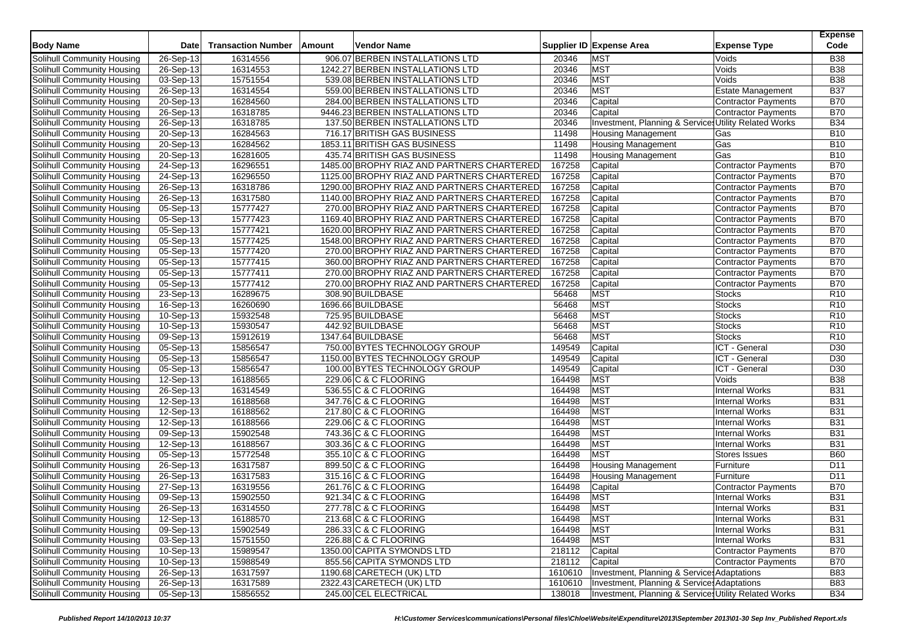| <b>Body Name</b>           | Date                    | <b>Transaction Number</b> | Amount | <b>Vendor Name</b>                         |         | Supplier ID Expense Area                              | <b>Expense Type</b>        | <b>Expense</b><br>Code |
|----------------------------|-------------------------|---------------------------|--------|--------------------------------------------|---------|-------------------------------------------------------|----------------------------|------------------------|
| Solihull Community Housing | 26-Sep-13               | 16314556                  |        | 906.07 BERBEN INSTALLATIONS LTD            | 20346   | <b>MST</b>                                            | Voids                      | <b>B38</b>             |
| Solihull Community Housing | 26-Sep-13               | 16314553                  |        | 1242.27 BERBEN INSTALLATIONS LTD           | 20346   | <b>MST</b>                                            | Voids                      | <b>B38</b>             |
| Solihull Community Housing | $\overline{03-Sep-13}$  | 15751554                  |        | 539.08 BERBEN INSTALLATIONS LTD            | 20346   | <b>MST</b>                                            | Voids                      | <b>B</b> 38            |
| Solihull Community Housing | $26-Sep-13$             | 16314554                  |        | 559.00 BERBEN INSTALLATIONS LTD            | 20346   | <b>MST</b>                                            | <b>Estate Management</b>   | <b>B37</b>             |
| Solihull Community Housing | 20-Sep-13               | 16284560                  |        | 284.00 BERBEN INSTALLATIONS LTD            | 20346   | Capital                                               | <b>Contractor Payments</b> | <b>B70</b>             |
| Solihull Community Housing | $\overline{26}$ -Sep-13 | 16318785                  |        | 9446.23 BERBEN INSTALLATIONS LTD           | 20346   | Capital                                               | <b>Contractor Payments</b> | <b>B70</b>             |
| Solihull Community Housing | $26-Sep-13$             | 16318785                  |        | 137.50 BERBEN INSTALLATIONS LTD            | 20346   | Investment, Planning & Services Utility Related Works |                            | <b>B34</b>             |
| Solihull Community Housing | 20-Sep-13               | 16284563                  |        | 716.17 BRITISH GAS BUSINESS                | 11498   | <b>Housing Management</b>                             | Gas                        | <b>B10</b>             |
| Solihull Community Housing | 20-Sep-13               | 16284562                  |        | 1853.11 BRITISH GAS BUSINESS               | 11498   | <b>Housing Management</b>                             | Gas                        | <b>B10</b>             |
| Solihull Community Housing | $20-Sep-13$             | 16281605                  |        | 435.74 BRITISH GAS BUSINESS                | 11498   | <b>Housing Management</b>                             | Gas                        | <b>B10</b>             |
| Solihull Community Housing | 24-Sep-13               | 16296551                  |        | 1485.00 BROPHY RIAZ AND PARTNERS CHARTERED | 167258  | Capital                                               | <b>Contractor Payments</b> | <b>B70</b>             |
| Solihull Community Housing | 24-Sep-13               | 16296550                  |        | 1125.00 BROPHY RIAZ AND PARTNERS CHARTERED | 167258  | Capital                                               | <b>Contractor Payments</b> | <b>B70</b>             |
| Solihull Community Housing | 26-Sep-13               | 16318786                  |        | 1290.00 BROPHY RIAZ AND PARTNERS CHARTERED | 167258  | Capital                                               | Contractor Payments        | <b>B70</b>             |
| Solihull Community Housing | 26-Sep-13               | 16317580                  |        | 1140.00 BROPHY RIAZ AND PARTNERS CHARTERED | 167258  | Capital                                               | <b>Contractor Payments</b> | <b>B70</b>             |
|                            | $05-Sep-13$             | 15777427                  |        | 270.00 BROPHY RIAZ AND PARTNERS CHARTERED  | 167258  | Capital                                               | <b>Contractor Payments</b> | <b>B70</b>             |
| Solihull Community Housing |                         |                           |        |                                            |         |                                                       |                            | <b>B70</b>             |
| Solihull Community Housing | $\overline{05}$ -Sep-13 | 15777423                  |        | 1169.40 BROPHY RIAZ AND PARTNERS CHARTERED | 167258  | Capital                                               | <b>Contractor Payments</b> |                        |
| Solihull Community Housing | 05-Sep-13               | 15777421                  |        | 1620.00 BROPHY RIAZ AND PARTNERS CHARTERED | 167258  | Capital                                               | Contractor Payments        | <b>B70</b>             |
| Solihull Community Housing | 05-Sep-13               | 15777425                  |        | 1548.00 BROPHY RIAZ AND PARTNERS CHARTERED | 167258  | Capital                                               | <b>Contractor Payments</b> | <b>B70</b>             |
| Solihull Community Housing | 05-Sep-13               | 15777420                  |        | 270.00 BROPHY RIAZ AND PARTNERS CHARTERED  | 167258  | Capital                                               | Contractor Payments        | <b>B70</b>             |
| Solihull Community Housing | 05-Sep-13               | 15777415                  |        | 360.00 BROPHY RIAZ AND PARTNERS CHARTERED  | 167258  | Capital                                               | <b>Contractor Payments</b> | <b>B70</b>             |
| Solihull Community Housing | 05-Sep-13               | 15777411                  |        | 270.00 BROPHY RIAZ AND PARTNERS CHARTERED  | 167258  | Capital                                               | <b>Contractor Payments</b> | <b>B70</b>             |
| Solihull Community Housing | 05-Sep-13               | 15777412                  |        | 270.00 BROPHY RIAZ AND PARTNERS CHARTERED  | 167258  | Capital                                               | <b>Contractor Payments</b> | <b>B70</b>             |
| Solihull Community Housing | 23-Sep-13               | 16289675                  |        | 308.90 BUILDBASE                           | 56468   | <b>MST</b>                                            | <b>Stocks</b>              | R <sub>10</sub>        |
| Solihull Community Housing | 16-Sep-13               | 16260690                  |        | 1696.66 BUILDBASE                          | 56468   | <b>MST</b>                                            | <b>Stocks</b>              | R <sub>10</sub>        |
| Solihull Community Housing | 10-Sep-13               | 15932548                  |        | 725.95 BUILDBASE                           | 56468   | <b>MST</b>                                            | <b>Stocks</b>              | R <sub>10</sub>        |
| Solihull Community Housing | 10-Sep-13               | 15930547                  |        | 442.92 BUILDBASE                           | 56468   | <b>MST</b>                                            | Stocks                     | R <sub>10</sub>        |
| Solihull Community Housing | 09-Sep-13               | 15912619                  |        | 1347.64 BUILDBASE                          | 56468   | <b>MST</b>                                            | <b>Stocks</b>              | R10                    |
| Solihull Community Housing | 05-Sep-13               | 15856547                  |        | 750.00 BYTES TECHNOLOGY GROUP              | 149549  | Capital                                               | ICT - General              | D30                    |
| Solihull Community Housing | $05-Sep-13$             | 15856547                  |        | 1150.00 BYTES TECHNOLOGY GROUP             | 149549  | Capital                                               | ICT - General              | D <sub>30</sub>        |
| Solihull Community Housing | 05-Sep-13               | 15856547                  |        | 100.00 BYTES TECHNOLOGY GROUP              | 149549  | Capital                                               | ICT - General              | D30                    |
| Solihull Community Housing | 12-Sep-13               | 16188565                  |        | 229.06 C & C FLOORING                      | 164498  | <b>MST</b>                                            | Voids                      | <b>B38</b>             |
| Solihull Community Housing | 26-Sep-13               | 16314549                  |        | 536.55 C & C FLOORING                      | 164498  | <b>MST</b>                                            | <b>Internal Works</b>      | <b>B31</b>             |
| Solihull Community Housing | 12-Sep-13               | 16188568                  |        | 347.76 C & C FLOORING                      | 164498  | <b>MST</b>                                            | <b>Internal Works</b>      | <b>B31</b>             |
| Solihull Community Housing | 12-Sep-13               | 16188562                  |        | 217.80 C & C FLOORING                      | 164498  | <b>MST</b>                                            | <b>Internal Works</b>      | <b>B31</b>             |
| Solihull Community Housing | 12-Sep-13               | 16188566                  |        | 229.06 C & C FLOORING                      | 164498  | <b>MST</b>                                            | <b>Internal Works</b>      | <b>B31</b>             |
| Solihull Community Housing | 09-Sep-13               | 15902548                  |        | 743.36 C & C FLOORING                      | 164498  | <b>MST</b>                                            | <b>Internal Works</b>      | <b>B31</b>             |
| Solihull Community Housing | 12-Sep-13               | 16188567                  |        | 303.36 C & C FLOORING                      | 164498  | <b>MST</b>                                            | <b>Internal Works</b>      | <b>B31</b>             |
| Solihull Community Housing | 05-Sep-13               | 15772548                  |        | 355.10 C & C FLOORING                      | 164498  | <b>MST</b>                                            | Stores Issues              | <b>B60</b>             |
| Solihull Community Housing | 26-Sep-13               | 16317587                  |        | 899.50 C & C FLOORING                      | 164498  | <b>Housing Management</b>                             | Furniture                  | D <sub>11</sub>        |
| Solihull Community Housing | 26-Sep-13               | 16317583                  |        | 315.16 C & C FLOORING                      | 164498  | <b>Housing Management</b>                             | Furniture                  | D11                    |
| Solihull Community Housing | 27-Sep-13               | 16319556                  |        | 261.76 C & C FLOORING                      | 164498  | Capital                                               | <b>Contractor Payments</b> | <b>B70</b>             |
| Solihull Community Housing | 09-Sep-13               | 15902550                  |        | 921.34 C & C FLOORING                      | 164498  | <b>MST</b>                                            | <b>Internal Works</b>      | <b>B31</b>             |
| Solihull Community Housing | 26-Sep-13               | 16314550                  |        | 277.78 C & C FLOORING                      | 164498  | <b>MST</b>                                            | <b>Internal Works</b>      | <b>B31</b>             |
| Solihull Community Housing | 12-Sep-13               | 16188570                  |        | 213.68 C & C FLOORING                      | 164498  | <b>MST</b>                                            | Internal Works             | <b>B31</b>             |
| Solihull Community Housing | 09-Sep-13               | 15902549                  |        | 286.33 C & C FLOORING                      | 164498  | <b>MST</b>                                            | <b>Internal Works</b>      | <b>B31</b>             |
| Solihull Community Housing | 03-Sep-13               | 15751550                  |        | 226.88 C & C FLOORING                      | 164498  | <b>MST</b>                                            | <b>Internal Works</b>      | <b>B31</b>             |
| Solihull Community Housing | 10-Sep-13               | 15989547                  |        | 1350.00 CAPITA SYMONDS LTD                 | 218112  | Capital                                               | Contractor Payments        | <b>B70</b>             |
| Solihull Community Housing | 10-Sep-13               | 15988549                  |        | 855.56 CAPITA SYMONDS LTD                  | 218112  | Capital                                               | Contractor Payments        | <b>B70</b>             |
| Solihull Community Housing | 26-Sep-13               | 16317597                  |        | 1190.68 CARETECH (UK) LTD                  | 1610610 | Investment, Planning & Services Adaptations           |                            | <b>B83</b>             |
| Solihull Community Housing | 26-Sep-13               | 16317589                  |        | 2322.43 CARETECH (UK) LTD                  | 1610610 | Investment, Planning & Service Adaptations            |                            | <b>B83</b>             |
| Solihull Community Housing | 05-Sep-13               | 15856552                  |        | 245.00 CEL ELECTRICAL                      | 138018  | Investment, Planning & Services Utility Related Works |                            | <b>B34</b>             |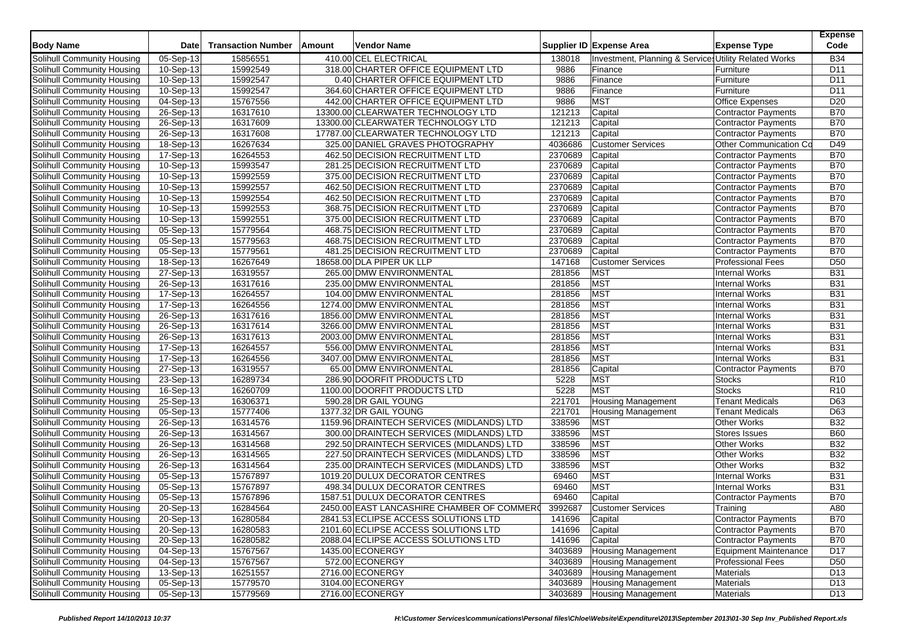| <b>Body Name</b>                  | <b>Date</b>             | <b>Transaction Number</b> | Amount | Vendor Name                                |         | Supplier ID Expense Area                              | <b>Expense Type</b>        | <b>Expense</b><br>Code |
|-----------------------------------|-------------------------|---------------------------|--------|--------------------------------------------|---------|-------------------------------------------------------|----------------------------|------------------------|
| Solihull Community Housing        | $\overline{05}$ -Sep-13 | 15856551                  |        | 410.00 CEL ELECTRICAL                      | 138018  | Investment, Planning & Services Utility Related Works |                            | <b>B34</b>             |
| Solihull Community Housing        | 10-Sep-13               | 15992549                  |        | 318.00 CHARTER OFFICE EQUIPMENT LTD        | 9886    | Finance                                               | Furniture                  | D <sub>11</sub>        |
| Solihull Community Housing        | 10-Sep-13               | 15992547                  |        | 0.40 CHARTER OFFICE EQUIPMENT LTD          | 9886    | Finance                                               | Furniture                  | D <sub>11</sub>        |
| Solihull Community Housing        | 10-Sep-13               | 15992547                  |        | 364.60 CHARTER OFFICE EQUIPMENT LTD        | 9886    | Finance                                               | Furniture                  | D <sub>11</sub>        |
| Solihull Community Housing        | 04-Sep-13               | 15767556                  |        | 442.00 CHARTER OFFICE EQUIPMENT LTD        | 9886    | <b>MST</b>                                            | <b>Office Expenses</b>     | D <sub>20</sub>        |
| Solihull Community Housing        | 26-Sep-13               | 16317610                  |        | 13300.00 CLEARWATER TECHNOLOGY LTD         | 121213  | Capital                                               | <b>Contractor Payments</b> | <b>B70</b>             |
| Solihull Community Housing        | 26-Sep-13               | 16317609                  |        | 13300.00 CLEARWATER TECHNOLOGY LTD         | 121213  | Capital                                               | <b>Contractor Payments</b> | <b>B70</b>             |
| Solihull Community Housing        | 26-Sep-13               | 16317608                  |        | 17787.00 CLEARWATER TECHNOLOGY LTD         | 121213  | Capital                                               | <b>Contractor Payments</b> | <b>B70</b>             |
| Solihull Community Housing        | 18-Sep-13               | 16267634                  |        | 325.00 DANIEL GRAVES PHOTOGRAPHY           | 4036686 | <b>Customer Services</b>                              | Other Communication Co     | D49                    |
| Solihull Community Housing        | 17-Sep-13               | 16264553                  |        | 462.50 DECISION RECRUITMENT LTD            | 2370689 | Capital                                               | Contractor Payments        | <b>B70</b>             |
| Solihull Community Housing        | $10-Sep-13$             | 15993547                  |        | 281.25 DECISION RECRUITMENT LTD            | 2370689 | Capital                                               | <b>Contractor Payments</b> | <b>B70</b>             |
| Solihull Community Housing        | 10-Sep-13               | 15992559                  |        | 375.00 DECISION RECRUITMENT LTD            | 2370689 | Capital                                               | Contractor Payments        | <b>B70</b>             |
| Solihull Community Housing        | $\overline{10}$ -Sep-13 | 15992557                  |        | 462.50 DECISION RECRUITMENT LTD            | 2370689 | Capital                                               | Contractor Payments        | <b>B70</b>             |
| Solihull Community Housing        | 10-Sep-13               | 15992554                  |        | 462.50 DECISION RECRUITMENT LTD            | 2370689 | Capital                                               | Contractor Payments        | <b>B70</b>             |
| Solihull Community Housing        | 10-Sep-13               | 15992553                  |        | 368.75 DECISION RECRUITMENT LTD            | 2370689 | Capital                                               | Contractor Payments        | <b>B70</b>             |
| Solihull Community Housing        | 10-Sep-13               | 15992551                  |        | 375.00 DECISION RECRUITMENT LTD            | 2370689 | Capital                                               | Contractor Payments        | <b>B70</b>             |
| Solihull Community Housing        | $05-Sep-13$             | 15779564                  |        | 468.75 DECISION RECRUITMENT LTD            | 2370689 | Capital                                               | Contractor Payments        | <b>B70</b>             |
| Solihull Community Housing        | 05-Sep-13               | 15779563                  |        | 468.75 DECISION RECRUITMENT LTD            | 2370689 | Capital                                               | Contractor Payments        | <b>B70</b>             |
| Solihull Community Housing        | 05-Sep-13               | 15779561                  |        | 481.25 DECISION RECRUITMENT LTD            | 2370689 | Capital                                               | Contractor Payments        | <b>B70</b>             |
| Solihull Community Housing        | $18-Sep-13$             | 16267649                  |        | 18658.00 DLA PIPER UK LLP                  | 147168  | <b>Customer Services</b>                              | <b>Professional Fees</b>   | D <sub>50</sub>        |
| Solihull Community Housing        | 27-Sep-13               | 16319557                  |        | 265.00 DMW ENVIRONMENTAL                   | 281856  | <b>MST</b>                                            | <b>Internal Works</b>      | <b>B31</b>             |
| Solihull Community Housing        | 26-Sep-13               | 16317616                  |        | 235.00 DMW ENVIRONMENTAL                   | 281856  | <b>MST</b>                                            | <b>Internal Works</b>      | <b>B31</b>             |
| Solihull Community Housing        | 17-Sep-13               | 16264557                  |        | 104.00 DMW ENVIRONMENTAL                   | 281856  | <b>MST</b>                                            | <b>Internal Works</b>      | <b>B31</b>             |
| Solihull Community Housing        | 17-Sep-13               | 16264556                  |        | 1274.00 DMW ENVIRONMENTAL                  | 281856  | <b>MST</b>                                            | <b>Internal Works</b>      | <b>B31</b>             |
| Solihull Community Housing        | 26-Sep-13               | 16317616                  |        | 1856.00 DMW ENVIRONMENTAL                  | 281856  | <b>MST</b>                                            | <b>Internal Works</b>      | <b>B31</b>             |
| Solihull Community Housing        | 26-Sep-13               | 16317614                  |        | 3266.00 DMW ENVIRONMENTAL                  | 281856  | <b>MST</b>                                            | <b>Internal Works</b>      | <b>B31</b>             |
| Solihull Community Housing        | 26-Sep-13               | 16317613                  |        | 2003.00 DMW ENVIRONMENTAL                  | 281856  | <b>MST</b>                                            | Internal Works             | <b>B31</b>             |
| Solihull Community Housing        | 17-Sep-13               | 16264557                  |        | 556.00 DMW ENVIRONMENTAL                   | 281856  | <b>MST</b>                                            | <b>Internal Works</b>      | <b>B31</b>             |
| Solihull Community Housing        | 17-Sep-13               | 16264556                  |        | 3407.00 DMW ENVIRONMENTAL                  | 281856  | <b>MST</b>                                            | <b>Internal Works</b>      | <b>B31</b>             |
| Solihull Community Housing        | 27-Sep-13               | 16319557                  |        | 65.00 DMW ENVIRONMENTAL                    | 281856  | Capital                                               | Contractor Payments        | <b>B70</b>             |
| Solihull Community Housing        | 23-Sep-13               | 16289734                  |        | 286.90 DOORFIT PRODUCTS LTD                | 5228    | <b>MST</b>                                            | <b>Stocks</b>              | R10                    |
| Solihull Community Housing        | 16-Sep-13               | 16260709                  |        | 1100.00 DOORFIT PRODUCTS LTD               | 5228    | MST                                                   | <b>Stocks</b>              | R <sub>10</sub>        |
| Solihull Community Housing        | 25-Sep-13               | 16306371                  |        | 590.28 DR GAIL YOUNG                       | 221701  | <b>Housing Management</b>                             | <b>Tenant Medicals</b>     | D63                    |
| Solihull Community Housing        | 05-Sep-13               | 15777406                  |        | 1377.32 DR GAIL YOUNG                      | 221701  | <b>Housing Management</b>                             | <b>Tenant Medicals</b>     | D63                    |
| Solihull Community Housing        | 26-Sep-13               | 16314576                  |        | 1159.96 DRAINTECH SERVICES (MIDLANDS) LTD  | 338596  | <b>MST</b>                                            | <b>Other Works</b>         | <b>B32</b>             |
| <b>Solihull Community Housing</b> | 26-Sep-13               | 16314567                  |        | 300.00 DRAINTECH SERVICES (MIDLANDS) LTD   | 338596  | MST                                                   | <b>Stores Issues</b>       | <b>B60</b>             |
| Solihull Community Housing        | 26-Sep-13               | 16314568                  |        | 292.50 DRAINTECH SERVICES (MIDLANDS) LTD   | 338596  | <b>MST</b>                                            | Other Works                | <b>B32</b>             |
| Solihull Community Housing        | 26-Sep-13               | 16314565                  |        | 227.50 DRAINTECH SERVICES (MIDLANDS) LTD   | 338596  | MST                                                   | <b>Other Works</b>         | <b>B32</b>             |
| Solihull Community Housing        | 26-Sep-13               | 16314564                  |        | 235.00 DRAINTECH SERVICES (MIDLANDS) LTD   | 338596  | <b>MST</b>                                            | <b>Other Works</b>         | <b>B32</b>             |
| Solihull Community Housing        | 05-Sep-13               | 15767897                  |        | 1019.20 DULUX DECORATOR CENTRES            | 69460   | <b>MST</b>                                            | <b>Internal Works</b>      | <b>B31</b>             |
| Solihull Community Housing        | 05-Sep-13               | 15767897                  |        | 498.34 DULUX DECORATOR CENTRES             | 69460   | MST                                                   | <b>Internal Works</b>      | <b>B31</b>             |
| Solihull Community Housing        | 05-Sep-13               | 15767896                  |        | 1587.51 DULUX DECORATOR CENTRES            | 69460   | Capital                                               | Contractor Payments        | <b>B70</b>             |
| Solihull Community Housing        | 20-Sep-13               | 16284564                  |        | 2450.00 EAST LANCASHIRE CHAMBER OF COMMERO | 3992687 | <b>Customer Services</b>                              | Training                   | A80                    |
| Solihull Community Housing        | 20-Sep-13               | 16280584                  |        | 2841.53 ECLIPSE ACCESS SOLUTIONS LTD       | 141696  | Capital                                               | Contractor Payments        | <b>B70</b>             |
| Solihull Community Housing        | 20-Sep-13               | 16280583                  |        | 2101.60 ECLIPSE ACCESS SOLUTIONS LTD       | 141696  | Capital                                               | Contractor Payments        | <b>B70</b>             |
| Solihull Community Housing        | 20-Sep-13               | 16280582                  |        | 2088.04 ECLIPSE ACCESS SOLUTIONS LTD       | 141696  | Capital                                               | Contractor Payments        | <b>B70</b>             |
| Solihull Community Housing        | 04-Sep-13               | 15767567                  |        | 1435.00 ECONERGY                           | 3403689 | <b>Housing Management</b>                             | Equipment Maintenance      | D17                    |
| Solihull Community Housing        | 04-Sep-13               | 15767567                  |        | 572.00 ECONERGY                            | 3403689 | <b>Housing Management</b>                             | <b>Professional Fees</b>   | D <sub>50</sub>        |
| Solihull Community Housing        | 13-Sep-13               | 16251557                  |        | 2716.00 ECONERGY                           | 3403689 | <b>Housing Management</b>                             | <b>Materials</b>           | D <sub>13</sub>        |
| Solihull Community Housing        | 05-Sep-13               | 15779570                  |        | 3104.00 ECONERGY                           | 3403689 | <b>Housing Management</b>                             | Materials                  | D <sub>13</sub>        |
| Solihull Community Housing        | 05-Sep-13               | 15779569                  |        | 2716.00 ECONERGY                           | 3403689 | Housing Management                                    | Materials                  | D13                    |
|                                   |                         |                           |        |                                            |         |                                                       |                            |                        |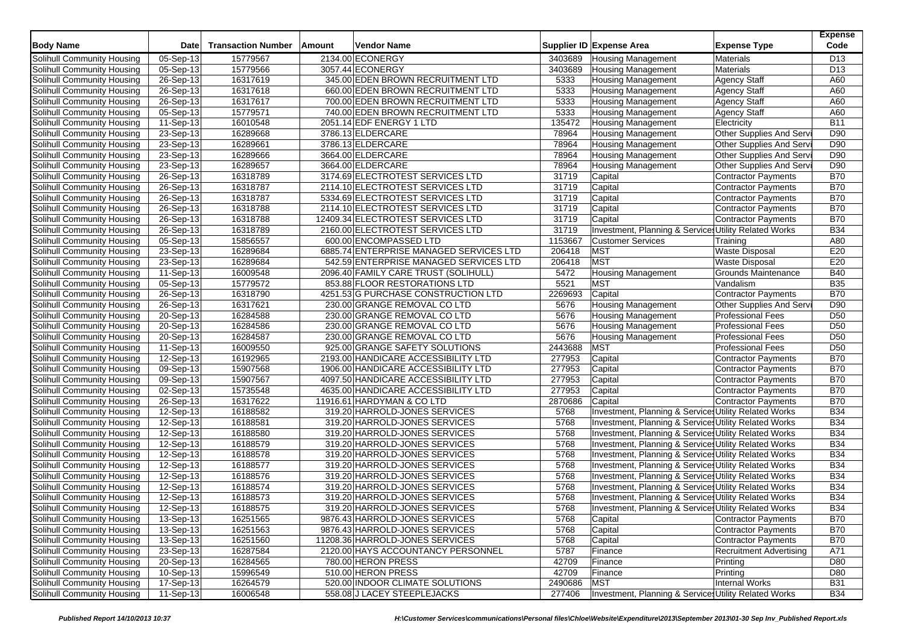| <b>Body Name</b>           | <b>Date</b>             | <b>Transaction Number</b> | Amount | <b>Vendor Name</b>                      |         | Supplier ID Expense Area                              | <b>Expense Type</b>            | <b>Expense</b><br>Code |
|----------------------------|-------------------------|---------------------------|--------|-----------------------------------------|---------|-------------------------------------------------------|--------------------------------|------------------------|
| Solihull Community Housing | 05-Sep-13               | 15779567                  |        | 2134.00 ECONERGY                        | 3403689 | <b>Housing Management</b>                             | <b>Materials</b>               | D <sub>13</sub>        |
| Solihull Community Housing | 05-Sep-13               | 15779566                  |        | 3057.44 ECONERGY                        | 3403689 | <b>Housing Management</b>                             | <b>Materials</b>               | D <sub>13</sub>        |
| Solihull Community Housing | 26-Sep-13               | 16317619                  |        | 345.00 EDEN BROWN RECRUITMENT LTD       | 5333    | <b>Housing Management</b>                             | <b>Agency Staff</b>            | A60                    |
| Solihull Community Housing | 26-Sep-13               | 16317618                  |        | 660.00 EDEN BROWN RECRUITMENT LTD       | 5333    | <b>Housing Management</b>                             | <b>Agency Staff</b>            | A60                    |
| Solihull Community Housing | 26-Sep-13               | 16317617                  |        | 700.00 EDEN BROWN RECRUITMENT LTD       | 5333    | <b>Housing Management</b>                             | <b>Agency Staff</b>            | A60                    |
| Solihull Community Housing | 05-Sep-13               | 15779571                  |        | 740.00 EDEN BROWN RECRUITMENT LTD       | 5333    | <b>Housing Management</b>                             | <b>Agency Staff</b>            | A60                    |
| Solihull Community Housing | 11-Sep-13               | 16010548                  |        | 2051.14 EDF ENERGY 1 LTD                | 135472  | Housing Management                                    | Electricity                    | <b>B11</b>             |
| Solihull Community Housing | 23-Sep-13               | 16289668                  |        | 3786.13 ELDERCARE                       | 78964   | <b>Housing Management</b>                             | Other Supplies And Serv        | D90                    |
| Solihull Community Housing | 23-Sep-13               | 16289661                  |        | 3786.13 ELDERCARE                       | 78964   | <b>Housing Management</b>                             | Other Supplies And Serv        | D90                    |
| Solihull Community Housing | 23-Sep-13               | 16289666                  |        | 3664.00 ELDERCARE                       | 78964   | <b>Housing Management</b>                             | Other Supplies And Serv        | D90                    |
| Solihull Community Housing | 23-Sep-13               | 16289657                  |        | 3664.00 ELDERCARE                       | 78964   | <b>Housing Management</b>                             | <b>Other Supplies And Serv</b> | D90                    |
| Solihull Community Housing | 26-Sep-13               | 16318789                  |        | 3174.69 ELECTROTEST SERVICES LTD        | 31719   | Capital                                               | <b>Contractor Payments</b>     | <b>B70</b>             |
| Solihull Community Housing | 26-Sep-13               | 16318787                  |        | 2114.10 ELECTROTEST SERVICES LTD        | 31719   | Capital                                               | <b>Contractor Payments</b>     | <b>B70</b>             |
| Solihull Community Housing | 26-Sep-13               | 16318787                  |        | 5334.69 ELECTROTEST SERVICES LTD        | 31719   | Capital                                               | <b>Contractor Payments</b>     | <b>B70</b>             |
| Solihull Community Housing | 26-Sep-13               | 16318788                  |        | 2114.10 ELECTROTEST SERVICES LTD        | 31719   | Capital                                               | Contractor Payments            | <b>B70</b>             |
| Solihull Community Housing | 26-Sep-13               | 16318788                  |        | 12409.34 ELECTROTEST SERVICES LTD       | 31719   | Capital                                               | <b>Contractor Payments</b>     | <b>B70</b>             |
| Solihull Community Housing | 26-Sep-13               | 16318789                  |        | 2160.00 ELECTROTEST SERVICES LTD        | 31719   | Investment, Planning & Services Utility Related Works |                                | <b>B34</b>             |
| Solihull Community Housing | 05-Sep-13               | 15856557                  |        | 600.00 ENCOMPASSED LTD                  | 1153667 | <b>Customer Services</b>                              | Training                       | A80                    |
| Solihull Community Housing | 23-Sep-13               | 16289684                  |        | 6885.74 ENTERPRISE MANAGED SERVICES LTD | 206418  | <b>MST</b>                                            | <b>Waste Disposal</b>          | E20                    |
| Solihull Community Housing | 23-Sep-13               | 16289684                  |        | 542.59 ENTERPRISE MANAGED SERVICES LTD  | 206418  | <b>MST</b>                                            | <b>Waste Disposal</b>          | E20                    |
| Solihull Community Housing | 11-Sep-13               | 16009548                  |        | 2096.40 FAMILY CARE TRUST (SOLIHULL)    | 5472    | <b>Housing Management</b>                             | Grounds Maintenance            | <b>B40</b>             |
| Solihull Community Housing | $\overline{05}$ -Sep-13 | 15779572                  |        | 853.88 FLOOR RESTORATIONS LTD           | 5521    | <b>MST</b>                                            | Vandalism                      | <b>B35</b>             |
| Solihull Community Housing | 26-Sep-13               | 16318790                  |        | 4251.53 G PURCHASE CONSTRUCTION LTD     | 2269693 | Capital                                               | Contractor Payments            | <b>B70</b>             |
| Solihull Community Housing | 26-Sep-13               | 16317621                  |        | 230.00 GRANGE REMOVAL CO LTD            | 5676    | <b>Housing Management</b>                             | Other Supplies And Serv        | D90                    |
| Solihull Community Housing | 20-Sep-13               | 16284588                  |        | 230.00 GRANGE REMOVAL CO LTD            | 5676    | <b>Housing Management</b>                             | <b>Professional Fees</b>       | D <sub>50</sub>        |
| Solihull Community Housing | 20-Sep-13               | 16284586                  |        | 230.00 GRANGE REMOVAL CO LTD            | 5676    | <b>Housing Management</b>                             | <b>Professional Fees</b>       | D <sub>50</sub>        |
| Solihull Community Housing | 20-Sep-13               | 16284587                  |        | 230.00 GRANGE REMOVAL CO LTD            | 5676    | <b>Housing Management</b>                             | <b>Professional Fees</b>       | D <sub>50</sub>        |
| Solihull Community Housing | 11-Sep-13               | 16009550                  |        | 925.00 GRANGE SAFETY SOLUTIONS          | 2443688 | MST                                                   | <b>Professional Fees</b>       | D <sub>50</sub>        |
| Solihull Community Housing | 12-Sep-13               | 16192965                  |        | 2193.00 HANDICARE ACCESSIBILITY LTD     | 277953  | Capital                                               | <b>Contractor Payments</b>     | <b>B70</b>             |
| Solihull Community Housing | 09-Sep-13               | 15907568                  |        | 1906.00 HANDICARE ACCESSIBILITY LTD     | 277953  | Capital                                               | <b>Contractor Payments</b>     | <b>B70</b>             |
| Solihull Community Housing | 09-Sep-13               | 15907567                  |        | 4097.50 HANDICARE ACCESSIBILITY LTD     | 277953  | Capital                                               | <b>Contractor Payments</b>     | <b>B70</b>             |
| Solihull Community Housing | 02-Sep-13               | 15735548                  |        | 4635.00 HANDICARE ACCESSIBILITY LTD     | 277953  | Capital                                               | <b>Contractor Payments</b>     | <b>B70</b>             |
| Solihull Community Housing | 26-Sep-13               | 16317622                  |        | 11916.61 HARDYMAN & CO LTD              | 2870686 | Capital                                               | <b>Contractor Payments</b>     | <b>B70</b>             |
| Solihull Community Housing | 12-Sep-13               | 16188582                  |        | 319.20 HARROLD-JONES SERVICES           | 5768    | Investment, Planning & Service Utility Related Works  |                                | <b>B34</b>             |
| Solihull Community Housing | 12-Sep-13               | 16188581                  |        | 319.20 HARROLD-JONES SERVICES           | 5768    | Investment, Planning & Services Utility Related Works |                                | <b>B34</b>             |
| Solihull Community Housing | 12-Sep-13               | 16188580                  |        | 319.20 HARROLD-JONES SERVICES           | 5768    | Investment, Planning & Services Utility Related Works |                                | <b>B34</b>             |
| Solihull Community Housing | 12-Sep-13               | 16188579                  |        | 319.20 HARROLD-JONES SERVICES           | 5768    | Investment, Planning & Services Utility Related Works |                                | <b>B34</b>             |
| Solihull Community Housing | 12-Sep-13               | 16188578                  |        | 319.20 HARROLD-JONES SERVICES           | 5768    | Investment, Planning & Services Utility Related Works |                                | <b>B34</b>             |
| Solihull Community Housing | 12-Sep-13               | 16188577                  |        | 319.20 HARROLD-JONES SERVICES           | 5768    | Investment, Planning & Services Utility Related Works |                                | <b>B34</b>             |
| Solihull Community Housing | 12-Sep-13               | 16188576                  |        | 319.20 HARROLD-JONES SERVICES           | 5768    | Investment, Planning & Services Utility Related Works |                                | <b>B34</b>             |
| Solihull Community Housing | 12-Sep-13               | 16188574                  |        | 319.20 HARROLD-JONES SERVICES           | 5768    | Investment, Planning & Services Utility Related Works |                                | <b>B34</b>             |
| Solihull Community Housing | 12-Sep-13               | 16188573                  |        | 319.20 HARROLD-JONES SERVICES           | 5768    | Investment, Planning & Services Utility Related Works |                                | <b>B34</b>             |
| Solihull Community Housing | 12-Sep-13               | 16188575                  |        | 319.20 HARROLD-JONES SERVICES           | 5768    | Investment, Planning & Services Utility Related Works |                                | <b>B34</b>             |
| Solihull Community Housing | 13-Sep-13               | 16251565                  |        | 9876.43 HARROLD-JONES SERVICES          | 5768    | Capital                                               | Contractor Payments            | <b>B70</b>             |
| Solihull Community Housing | 13-Sep-13               | 16251563                  |        | 9876.43 HARROLD-JONES SERVICES          | 5768    | Capital                                               | Contractor Payments            | <b>B70</b>             |
| Solihull Community Housing | 13-Sep-13               | 16251560                  |        | 11208.36 HARROLD-JONES SERVICES         | 5768    | Capital                                               | Contractor Payments            | <b>B70</b>             |
| Solihull Community Housing | $23-Sep-13$             | 16287584                  |        | 2120.00 HAYS ACCOUNTANCY PERSONNEL      | 5787    | Finance                                               | <b>Recruitment Advertising</b> | A71                    |
| Solihull Community Housing | 20-Sep-13               | 16284565                  |        | 780.00 HERON PRESS                      | 42709   | Finance                                               | Printing                       | D80                    |
| Solihull Community Housing | 10-Sep-13               | 15996549                  |        | 510.00 HERON PRESS                      | 42709   | Finance                                               | Printing                       | D80                    |
| Solihull Community Housing | 17-Sep-13               | 16264579                  |        | 520.00 INDOOR CLIMATE SOLUTIONS         | 2490686 | <b>MST</b>                                            | <b>Internal Works</b>          | <b>B31</b>             |
| Solihull Community Housing | 11-Sep-13               | 16006548                  |        | 558.08 J LACEY STEEPLEJACKS             | 277406  | Investment, Planning & Service Utility Related Works  |                                | <b>B34</b>             |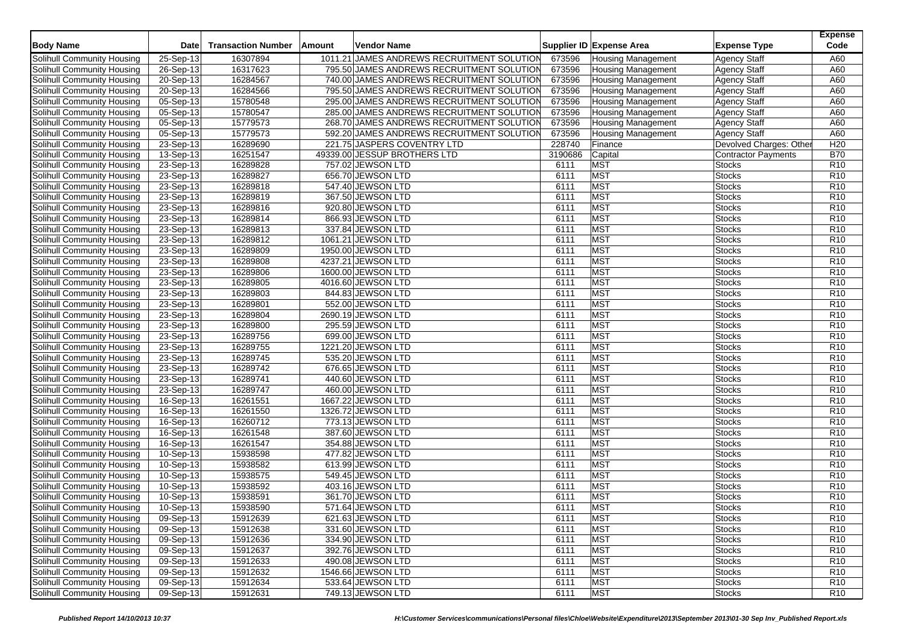| <b>Body Name</b>                  | Date                    | <b>Transaction Number</b> | Amount | <b>Vendor Name</b>                         |         | Supplier ID Expense Area  | <b>Expense Type</b>    | <b>Expense</b><br>Code |
|-----------------------------------|-------------------------|---------------------------|--------|--------------------------------------------|---------|---------------------------|------------------------|------------------------|
| <b>Solihull Community Housing</b> | 25-Sep-13               | 16307894                  |        | 1011.21 JAMES ANDREWS RECRUITMENT SOLUTION | 673596  | <b>Housing Management</b> | <b>Agency Staff</b>    | A60                    |
| Solihull Community Housing        | 26-Sep-13               | 16317623                  |        | 795.50 JAMES ANDREWS RECRUITMENT SOLUTION  | 673596  | <b>Housing Management</b> | <b>Agency Staff</b>    | A60                    |
| <b>Solihull Community Housing</b> | $20-Sep-13$             | 16284567                  |        | 740.00 JAMES ANDREWS RECRUITMENT SOLUTION  | 673596  | <b>Housing Management</b> | <b>Agency Staff</b>    | A60                    |
| Solihull Community Housing        | 20-Sep-13               | 16284566                  |        | 795.50 JAMES ANDREWS RECRUITMENT SOLUTION  | 673596  | <b>Housing Management</b> | <b>Agency Staff</b>    | A60                    |
| Solihull Community Housing        | 05-Sep-13               | 15780548                  |        | 295.00 JAMES ANDREWS RECRUITMENT SOLUTION  | 673596  | <b>Housing Management</b> | <b>Agency Staff</b>    | A60                    |
| Solihull Community Housing        | 05-Sep-13               | 15780547                  |        | 285.00 JAMES ANDREWS RECRUITMENT SOLUTION  | 673596  | <b>Housing Management</b> | <b>Agency Staff</b>    | A60                    |
| Solihull Community Housing        | 05-Sep-13               | 15779573                  |        | 268.70 JAMES ANDREWS RECRUITMENT SOLUTION  | 673596  | <b>Housing Management</b> | <b>Agency Staff</b>    | A60                    |
| Solihull Community Housing        | 05-Sep-13               | 15779573                  |        | 592.20 JAMES ANDREWS RECRUITMENT SOLUTION  | 673596  | <b>Housing Management</b> | <b>Agency Staff</b>    | A60                    |
| Solihull Community Housing        | 23-Sep-13               | 16289690                  |        | 221.75 JASPERS COVENTRY LTD                | 228740  | Finance                   | Devolved Charges: Othe | H20                    |
| Solihull Community Housing        | 13-Sep-13               | 16251547                  |        | 49339.00 JESSUP BROTHERS LTD               | 3190686 | Capital                   | Contractor Payments    | <b>B70</b>             |
| Solihull Community Housing        | 23-Sep-13               | 16289828                  |        | 757.02 JEWSON LTD                          | 6111    | <b>MST</b>                | <b>Stocks</b>          | R10                    |
| Solihull Community Housing        | 23-Sep-13               | 16289827                  |        | 656.70 JEWSON LTD                          | 6111    | <b>MST</b>                | <b>Stocks</b>          | R <sub>10</sub>        |
| Solihull Community Housing        | $23-Sep-13$             | 16289818                  |        | 547.40 JEWSON LTD                          | 6111    | <b>MST</b>                | Stocks                 | R10                    |
| Solihull Community Housing        | 23-Sep-13               | 16289819                  |        | 367.50 JEWSON LTD                          | 6111    | <b>MST</b>                | <b>Stocks</b>          | R <sub>10</sub>        |
| Solihull Community Housing        | 23-Sep-13               | 16289816                  |        | 920.80 JEWSON LTD                          | 6111    | <b>MST</b>                | <b>Stocks</b>          | R <sub>10</sub>        |
| <b>Solihull Community Housing</b> | $23-Sep-13$             | 16289814                  |        | 866.93 JEWSON LTD                          | 6111    | <b>MST</b>                | <b>Stocks</b>          | R <sub>10</sub>        |
| Solihull Community Housing        | 23-Sep-13               | 16289813                  |        | 337.84 JEWSON LTD                          | 6111    | <b>MST</b>                | Stocks                 | R <sub>10</sub>        |
| Solihull Community Housing        | 23-Sep-13               | 16289812                  |        | 1061.21 JEWSON LTD                         | 6111    | <b>MST</b>                | <b>Stocks</b>          | R <sub>10</sub>        |
| Solihull Community Housing        | $\overline{23}$ -Sep-13 | 16289809                  |        | 1950.00 JEWSON LTD                         | 6111    | <b>MST</b>                | <b>Stocks</b>          | R <sub>10</sub>        |
| Solihull Community Housing        | 23-Sep-13               | 16289808                  |        | 4237.21 JEWSON LTD                         | 6111    | <b>MST</b>                | <b>Stocks</b>          | R <sub>10</sub>        |
| Solihull Community Housing        | 23-Sep-13               | 16289806                  |        | 1600.00 JEWSON LTD                         | 6111    | <b>MST</b>                | <b>Stocks</b>          | R <sub>10</sub>        |
| Solihull Community Housing        | 23-Sep-13               | 16289805                  |        | 4016.60 JEWSON LTD                         | 6111    | <b>MST</b>                | <b>Stocks</b>          | R <sub>10</sub>        |
| Solihull Community Housing        | 23-Sep-13               | 16289803                  |        | 844.83 JEWSON LTD                          | 6111    | <b>MST</b>                | <b>Stocks</b>          | R10                    |
| Solihull Community Housing        | 23-Sep-13               | 16289801                  |        | 552.00 JEWSON LTD                          | 6111    | <b>MST</b>                | <b>Stocks</b>          | R <sub>10</sub>        |
| Solihull Community Housing        | 23-Sep-13               | 16289804                  |        | 2690.19 JEWSON LTD                         | 6111    | <b>MST</b>                | <b>Stocks</b>          | R <sub>10</sub>        |
| Solihull Community Housing        | 23-Sep-13               | 16289800                  |        | 295.59 JEWSON LTD                          | 6111    | <b>MST</b>                | Stocks                 | R <sub>10</sub>        |
| Solihull Community Housing        | 23-Sep-13               | 16289756                  |        | 699.00 JEWSON LTD                          | 6111    | <b>MST</b>                | <b>Stocks</b>          | R <sub>10</sub>        |
| Solihull Community Housing        | 23-Sep-13               | 16289755                  |        | 1221.20 JEWSON LTD                         | 6111    | <b>MST</b>                | Stocks                 | R <sub>10</sub>        |
| Solihull Community Housing        | 23-Sep-13               | 16289745                  |        | 535.20 JEWSON LTD                          | 6111    | <b>MST</b>                | <b>Stocks</b>          | R <sub>10</sub>        |
| Solihull Community Housing        | 23-Sep-13               | 16289742                  |        | 676.65 JEWSON LTD                          | 6111    | <b>MST</b>                | <b>Stocks</b>          | R <sub>10</sub>        |
| Solihull Community Housing        | 23-Sep-13               | 16289741                  |        | 440.60 JEWSON LTD                          | 6111    | <b>MST</b>                | <b>Stocks</b>          | R <sub>10</sub>        |
| Solihull Community Housing        | 23-Sep-13               | 16289747                  |        | 460.00 JEWSON LTD                          | 6111    | <b>MST</b>                | <b>Stocks</b>          | R <sub>10</sub>        |
| Solihull Community Housing        | 16-Sep-13               | 16261551                  |        | 1667.22 JEWSON LTD                         | 6111    | <b>MST</b>                | <b>Stocks</b>          | R <sub>10</sub>        |
| Solihull Community Housing        | 16-Sep-13               | 16261550                  |        | 1326.72 JEWSON LTD                         | 6111    | <b>MST</b>                | <b>Stocks</b>          | R <sub>10</sub>        |
| Solihull Community Housing        | 16-Sep-13               | 16260712                  |        | 773.13 JEWSON LTD                          | 6111    | <b>MST</b>                | <b>Stocks</b>          | R <sub>10</sub>        |
| Solihull Community Housing        | 16-Sep-13               | 16261548                  |        | 387.60 JEWSON LTD                          | 6111    | <b>MST</b>                | <b>Stocks</b>          | R <sub>10</sub>        |
| Solihull Community Housing        | 16-Sep-13               | 16261547                  |        | 354.88 JEWSON LTD                          | 6111    | <b>MST</b>                | <b>Stocks</b>          | R10                    |
| Solihull Community Housing        | 10-Sep-13               | 15938598                  |        | 477.82 JEWSON LTD                          | 6111    | <b>MST</b>                | <b>Stocks</b>          | R <sub>10</sub>        |
| Solihull Community Housing        | 10-Sep-13               | 15938582                  |        | 613.99 JEWSON LTD                          | 6111    | <b>MST</b>                | <b>Stocks</b>          | R <sub>10</sub>        |
| Solihull Community Housing        | 10-Sep-13               | 15938575                  |        | 549.45 JEWSON LTD                          | 6111    | <b>MST</b>                | Stocks                 | R <sub>10</sub>        |
| Solihull Community Housing        | 10-Sep-13               | 15938592                  |        | 403.16 JEWSON LTD                          | 6111    | <b>MST</b>                | <b>Stocks</b>          | R <sub>10</sub>        |
| Solihull Community Housing        | 10-Sep-13               | 15938591                  |        | 361.70 JEWSON LTD                          | 6111    | <b>MST</b>                | <b>Stocks</b>          | R <sub>10</sub>        |
| Solihull Community Housing        | 10-Sep-13               | 15938590                  |        | 571.64 JEWSON LTD                          | 6111    | <b>MST</b>                | <b>Stocks</b>          | R <sub>10</sub>        |
| Solihull Community Housing        | 09-Sep-13               | 15912639                  |        | 621.63 JEWSON LTD                          | 6111    | <b>MST</b>                | <b>Stocks</b>          | R <sub>10</sub>        |
| Solihull Community Housing        | 09-Sep-13               | 15912638                  |        | 331.60 JEWSON LTD                          | 6111    | <b>MST</b>                | <b>Stocks</b>          | R <sub>10</sub>        |
| Solihull Community Housing        | 09-Sep-13               | 15912636                  |        | 334.90 JEWSON LTD                          | 6111    | <b>MST</b>                | Stocks                 | R <sub>10</sub>        |
| Solihull Community Housing        | 09-Sep-13               | 15912637                  |        | 392.76 JEWSON LTD                          | 6111    | <b>MST</b>                | <b>Stocks</b>          | R <sub>10</sub>        |
| Solihull Community Housing        | 09-Sep-13               | 15912633                  |        | 490.08 JEWSON LTD                          | 6111    | <b>MST</b>                | <b>Stocks</b>          | R <sub>10</sub>        |
| Solihull Community Housing        | 09-Sep-13               | 15912632                  |        | 1546.66 JEWSON LTD                         | 6111    | <b>MST</b>                | <b>Stocks</b>          | R <sub>10</sub>        |
| Solihull Community Housing        | 09-Sep-13               | 15912634                  |        | 533.64 JEWSON LTD                          | 6111    | <b>MST</b>                | <b>Stocks</b>          | R <sub>10</sub>        |
| Solihull Community Housing        | 09-Sep-13               | 15912631                  |        | 749.13 JEWSON LTD                          | 6111    | MST                       | Stocks                 | R <sub>10</sub>        |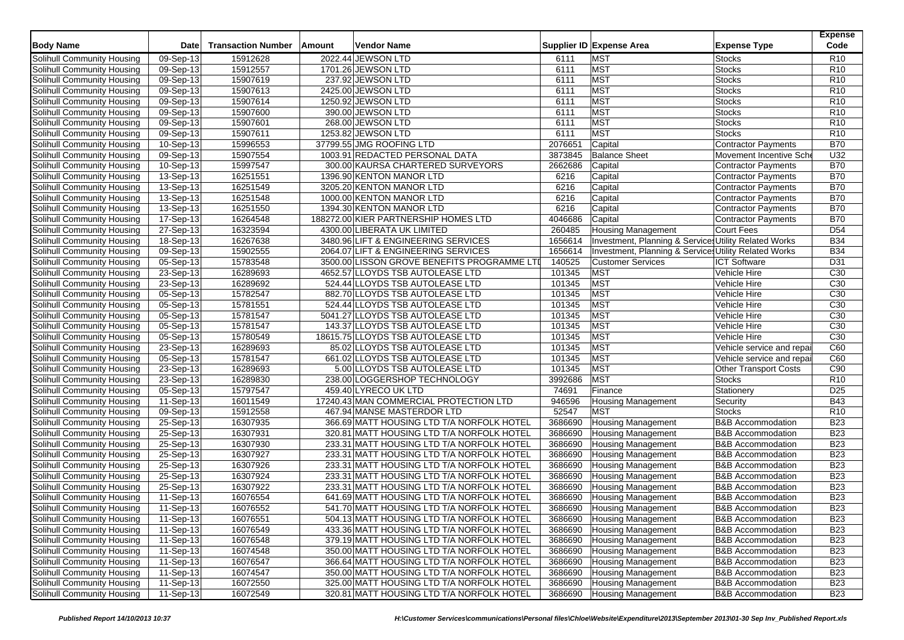| <b>Body Name</b>           | <b>Date</b>             | <b>Transaction Number</b> | Amount | Vendor Name                                 |         | Supplier ID Expense Area                              | <b>Expense Type</b>          | <b>Expense</b><br>Code |
|----------------------------|-------------------------|---------------------------|--------|---------------------------------------------|---------|-------------------------------------------------------|------------------------------|------------------------|
| Solihull Community Housing | 09-Sep-13               | 15912628                  |        | 2022.44 JEWSON LTD                          | 6111    | <b>MST</b>                                            | <b>Stocks</b>                | R <sub>10</sub>        |
| Solihull Community Housing | 09-Sep-13               | 15912557                  |        | 1701.26 JEWSON LTD                          | 6111    | <b>MST</b>                                            | <b>Stocks</b>                | R <sub>10</sub>        |
| Solihull Community Housing | 09-Sep-13               | 15907619                  |        | 237.92 JEWSON LTD                           | 6111    | <b>MST</b>                                            | <b>Stocks</b>                | R <sub>10</sub>        |
| Solihull Community Housing | 09-Sep-13               | 15907613                  |        | 2425.00 JEWSON LTD                          | 6111    | <b>MST</b>                                            | <b>Stocks</b>                | R10                    |
| Solihull Community Housing | $\overline{09-}$ Sep-13 | 15907614                  |        | 1250.92 JEWSON LTD                          | 6111    | <b>MST</b>                                            | <b>Stocks</b>                | R <sub>10</sub>        |
| Solihull Community Housing | $\overline{09}$ -Sep-13 | 15907600                  |        | 390.00 JEWSON LTD                           | 6111    | MST                                                   | <b>Stocks</b>                | R <sub>10</sub>        |
| Solihull Community Housing | 09-Sep-13               | 15907601                  |        | 268.00 JEWSON LTD                           | 6111    | <b>MST</b>                                            | <b>Stocks</b>                | R10                    |
| Solihull Community Housing | 09-Sep-13               | 15907611                  |        | 1253.82 JEWSON LTD                          | 6111    | <b>MST</b>                                            | <b>Stocks</b>                | R <sub>10</sub>        |
| Solihull Community Housing | $\overline{10}$ -Sep-13 | 15996553                  |        | 37799.55 JMG ROOFING LTD                    | 2076651 | Capital                                               | Contractor Payments          | <b>B70</b>             |
| Solihull Community Housing | $\overline{09}$ -Sep-13 | 15907554                  |        | 1003.91 REDACTED PERSONAL DATA              | 3873845 | <b>Balance Sheet</b>                                  | Movement Incentive Sche      | U32                    |
| Solihull Community Housing | 10-Sep-13               | 15997547                  |        | 300.00 KAURSA CHARTERED SURVEYORS           | 2662686 | Capital                                               | <b>Contractor Payments</b>   | <b>B70</b>             |
| Solihull Community Housing | 13-Sep-13               | 16251551                  |        | 1396.90 KENTON MANOR LTD                    | 6216    | Capital                                               | Contractor Payments          | <b>B70</b>             |
| Solihull Community Housing | 13-Sep-13               | 16251549                  |        | 3205.20 KENTON MANOR LTD                    | 6216    | Capital                                               | <b>Contractor Payments</b>   | <b>B70</b>             |
| Solihull Community Housing | 13-Sep-13               | 16251548                  |        | 1000.00 KENTON MANOR LTD                    | 6216    | Capital                                               | <b>Contractor Payments</b>   | <b>B70</b>             |
| Solihull Community Housing | $13-Sep-13$             | 16251550                  |        | 1394.30 KENTON MANOR LTD                    | 6216    | Capital                                               | Contractor Payments          | <b>B70</b>             |
| Solihull Community Housing | $\overline{17}$ -Sep-13 | 16264548                  |        | 188272.00 KIER PARTNERSHIP HOMES LTD        | 4046686 | Capital                                               | Contractor Payments          | <b>B70</b>             |
| Solihull Community Housing | 27-Sep-13               | 16323594                  |        | 4300.00 LIBERATA UK LIMITED                 | 260485  | <b>Housing Management</b>                             | <b>Court Fees</b>            | D <sub>54</sub>        |
| Solihull Community Housing | 18-Sep-13               | 16267638                  |        | 3480.96 LIFT & ENGINEERING SERVICES         | 1656614 | Investment, Planning & Services Utility Related Works |                              | <b>B34</b>             |
| Solihull Community Housing | 09-Sep-13               | 15902555                  |        | 2064.07 LIFT & ENGINEERING SERVICES         | 1656614 | Investment, Planning & Services Utility Related Works |                              | <b>B34</b>             |
| Solihull Community Housing | $05-Sep-13$             | 15783548                  |        | 3500.00 LISSON GROVE BENEFITS PROGRAMME LTI | 140525  | <b>Customer Services</b>                              | <b>ICT Software</b>          | D31                    |
| Solihull Community Housing | 23-Sep-13               | 16289693                  |        | 4652.57 LLOYDS TSB AUTOLEASE LTD            | 101345  | <b>MST</b>                                            | Vehicle Hire                 | C30                    |
| Solihull Community Housing | 23-Sep-13               | 16289692                  |        | 524.44 LLOYDS TSB AUTOLEASE LTD             | 101345  | <b>MST</b>                                            | Vehicle Hire                 | C30                    |
| Solihull Community Housing | 05-Sep-13               | 15782547                  |        | 882.70 LLOYDS TSB AUTOLEASE LTD             | 101345  | <b>MST</b>                                            | Vehicle Hire                 | C30                    |
| Solihull Community Housing | 05-Sep-13               | 15781551                  |        | 524.44 LLOYDS TSB AUTOLEASE LTD             | 101345  | <b>MST</b>                                            | Vehicle Hire                 | C30                    |
| Solihull Community Housing | 05-Sep-13               | 15781547                  |        | 5041.27 LLOYDS TSB AUTOLEASE LTD            | 101345  | <b>MST</b>                                            | Vehicle Hire                 | C30                    |
| Solihull Community Housing | $05-Sep-13$             | 15781547                  |        | 143.37 LLOYDS TSB AUTOLEASE LTD             | 101345  | MST                                                   | Vehicle Hire                 | C <sub>30</sub>        |
| Solihull Community Housing | 05-Sep-13               | 15780549                  |        | 18615.75 LLOYDS TSB AUTOLEASE LTD           | 101345  | <b>MST</b>                                            | Vehicle Hire                 | C30                    |
| Solihull Community Housing | 23-Sep-13               | 16289693                  |        | 85.02 LLOYDS TSB AUTOLEASE LTD              | 101345  | <b>MST</b>                                            | Vehicle service and repai    | C60                    |
| Solihull Community Housing | $05-Sep-13$             | 15781547                  |        | 661.02 LLOYDS TSB AUTOLEASE LTD             | 101345  | <b>MST</b>                                            | Vehicle service and repai    | C60                    |
| Solihull Community Housing | 23-Sep-13               | 16289693                  |        | 5.00 LLOYDS TSB AUTOLEASE LTD               | 101345  | <b>MST</b>                                            | <b>Other Transport Costs</b> | C90                    |
| Solihull Community Housing | 23-Sep-13               | 16289830                  |        | 238.00 LOGGERSHOP TECHNOLOGY                | 3992686 | <b>MST</b>                                            | <b>Stocks</b>                | R <sub>10</sub>        |
| Solihull Community Housing | 05-Sep-13               | 15797547                  |        | 459.40 LYRECO UK LTD                        | 74691   | Finance                                               | Stationery                   | D <sub>25</sub>        |
| Solihull Community Housing | 11-Sep-13               | 16011549                  |        | 17240.43 MAN COMMERCIAL PROTECTION LTD      | 946596  | <b>Housing Management</b>                             | Security                     | <b>B43</b>             |
| Solihull Community Housing | 09-Sep-13               | 15912558                  |        | 467.94 MANSE MASTERDOR LTD                  | 52547   | MST                                                   | <b>Stocks</b>                | R <sub>10</sub>        |
| Solihull Community Housing | 25-Sep-13               | 16307935                  |        | 366.69 MATT HOUSING LTD T/A NORFOLK HOTEL   | 3686690 | <b>Housing Management</b>                             | <b>B&amp;B</b> Accommodation | <b>B23</b>             |
| Solihull Community Housing | 25-Sep-13               | 16307931                  |        | 320.81 MATT HOUSING LTD T/A NORFOLK HOTEL   | 3686690 | <b>Housing Management</b>                             | <b>B&amp;B Accommodation</b> | <b>B23</b>             |
| Solihull Community Housing | 25-Sep-13               | 16307930                  |        | 233.31 MATT HOUSING LTD T/A NORFOLK HOTEL   | 3686690 | Housing Management                                    | <b>B&amp;B Accommodation</b> | <b>B23</b>             |
| Solihull Community Housing | 25-Sep-13               | 16307927                  |        | 233.31 MATT HOUSING LTD T/A NORFOLK HOTEL   | 3686690 | Housing Management                                    | <b>B&amp;B</b> Accommodation | <b>B23</b>             |
| Solihull Community Housing | 25-Sep-13               | 16307926                  |        | 233.31 MATT HOUSING LTD T/A NORFOLK HOTEL   | 3686690 | <b>Housing Management</b>                             | <b>B&amp;B</b> Accommodation | <b>B23</b>             |
| Solihull Community Housing | 25-Sep-13               | 16307924                  |        | 233.31 MATT HOUSING LTD T/A NORFOLK HOTEL   | 3686690 | <b>Housing Management</b>                             | <b>B&amp;B Accommodation</b> | <b>B23</b>             |
| Solihull Community Housing | 25-Sep-13               | 16307922                  |        | 233.31 MATT HOUSING LTD T/A NORFOLK HOTEL   | 3686690 | <b>Housing Management</b>                             | <b>B&amp;B Accommodation</b> | <b>B23</b>             |
| Solihull Community Housing | 11-Sep-13               | 16076554                  |        | 641.69 MATT HOUSING LTD T/A NORFOLK HOTEL   | 3686690 | <b>Housing Management</b>                             | <b>B&amp;B Accommodation</b> | <b>B23</b>             |
| Solihull Community Housing | 11-Sep-13               | 16076552                  |        | 541.70 MATT HOUSING LTD T/A NORFOLK HOTEL   | 3686690 | Housing Management                                    | <b>B&amp;B Accommodation</b> | <b>B23</b>             |
| Solihull Community Housing | 11-Sep-13               | 16076551                  |        | 504.13 MATT HOUSING LTD T/A NORFOLK HOTEL   | 3686690 | <b>Housing Management</b>                             | <b>B&amp;B Accommodation</b> | <b>B23</b>             |
| Solihull Community Housing | $11-Sep-13$             | 16076549                  |        | 433.36 MATT HOUSING LTD T/A NORFOLK HOTEL   | 3686690 | <b>Housing Management</b>                             | <b>B&amp;B Accommodation</b> | <b>B23</b>             |
| Solihull Community Housing | 11-Sep-13               | 16076548                  |        | 379.19 MATT HOUSING LTD T/A NORFOLK HOTEL   | 3686690 | <b>Housing Management</b>                             | <b>B&amp;B Accommodation</b> | <b>B23</b>             |
| Solihull Community Housing | 11-Sep-13               | 16074548                  |        | 350.00 MATT HOUSING LTD T/A NORFOLK HOTEL   | 3686690 | <b>Housing Management</b>                             | <b>B&amp;B Accommodation</b> | <b>B23</b>             |
| Solihull Community Housing | 11-Sep-13               | 16076547                  |        | 366.64 MATT HOUSING LTD T/A NORFOLK HOTEL   | 3686690 | <b>Housing Management</b>                             | <b>B&amp;B Accommodation</b> | <b>B23</b>             |
| Solihull Community Housing | 11-Sep-13               | 16074547                  |        | 350.00 MATT HOUSING LTD T/A NORFOLK HOTEL   | 3686690 | <b>Housing Management</b>                             | <b>B&amp;B Accommodation</b> | <b>B23</b>             |
| Solihull Community Housing | 11-Sep-13               | 16072550                  |        | 325.00 MATT HOUSING LTD T/A NORFOLK HOTEL   | 3686690 | <b>Housing Management</b>                             | <b>B&amp;B</b> Accommodation | <b>B23</b>             |
| Solihull Community Housing | 11-Sep-13               | 16072549                  |        | 320.81 MATT HOUSING LTD T/A NORFOLK HOTEL   | 3686690 | <b>Housing Management</b>                             | <b>B&amp;B Accommodation</b> | <b>B23</b>             |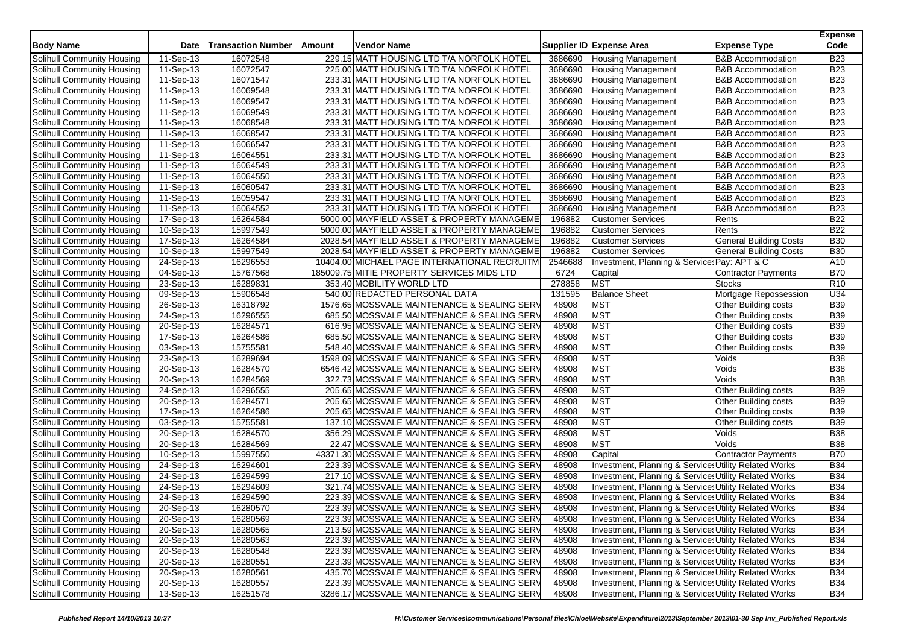| <b>Body Name</b>           | <b>Date</b>             | <b>Transaction Number</b> | <b>Amount</b> | <b>Vendor Name</b>                           |         | Supplier ID Expense Area                              | <b>Expense Type</b>           | <b>Expense</b><br>Code |
|----------------------------|-------------------------|---------------------------|---------------|----------------------------------------------|---------|-------------------------------------------------------|-------------------------------|------------------------|
| Solihull Community Housing | 11-Sep-13               | 16072548                  |               | 229.15 MATT HOUSING LTD T/A NORFOLK HOTEL    | 3686690 | <b>Housing Management</b>                             | <b>B&amp;B Accommodation</b>  | <b>B23</b>             |
| Solihull Community Housing | 11-Sep-13               | 16072547                  |               | 225.00 MATT HOUSING LTD T/A NORFOLK HOTEL    | 3686690 | <b>Housing Management</b>                             | <b>B&amp;B Accommodation</b>  | <b>B23</b>             |
| Solihull Community Housing | 11-Sep-13               | 16071547                  |               | 233.31 MATT HOUSING LTD T/A NORFOLK HOTEL    | 3686690 | <b>Housing Management</b>                             | <b>B&amp;B Accommodation</b>  | <b>B23</b>             |
| Solihull Community Housing | 11-Sep-13               | 16069548                  |               | 233.31 MATT HOUSING LTD T/A NORFOLK HOTEL    | 3686690 | <b>Housing Management</b>                             | <b>B&amp;B Accommodation</b>  | <b>B23</b>             |
| Solihull Community Housing | 11-Sep-13               | 16069547                  |               | 233.31 MATT HOUSING LTD T/A NORFOLK HOTEL    | 3686690 | <b>Housing Management</b>                             | <b>B&amp;B Accommodation</b>  | <b>B23</b>             |
| Solihull Community Housing | 11-Sep-13               | 16069549                  |               | 233.31 MATT HOUSING LTD T/A NORFOLK HOTEL    | 3686690 | <b>Housing Management</b>                             | <b>B&amp;B Accommodation</b>  | <b>B23</b>             |
| Solihull Community Housing | 11-Sep-13               | 16068548                  |               | 233.31 MATT HOUSING LTD T/A NORFOLK HOTEL    | 3686690 | Housing Management                                    | B&B Accommodation             | <b>B23</b>             |
| Solihull Community Housing | 11-Sep-13               | 16068547                  |               | 233.31 MATT HOUSING LTD T/A NORFOLK HOTEL    | 3686690 | <b>Housing Management</b>                             | <b>B&amp;B Accommodation</b>  | <b>B23</b>             |
| Solihull Community Housing | 11-Sep-13               | 16066547                  |               | 233.31 MATT HOUSING LTD T/A NORFOLK HOTEL    | 3686690 | <b>Housing Management</b>                             | <b>B&amp;B Accommodation</b>  | <b>B23</b>             |
| Solihull Community Housing | 11-Sep-13               | 16064551                  |               | 233.31 MATT HOUSING LTD T/A NORFOLK HOTEL    | 3686690 | <b>Housing Management</b>                             | <b>B&amp;B Accommodation</b>  | <b>B23</b>             |
| Solihull Community Housing | 11-Sep-13               | 16064549                  |               | 233.31 MATT HOUSING LTD T/A NORFOLK HOTEL    | 3686690 | <b>Housing Management</b>                             | B&B Accommodation             | <b>B23</b>             |
| Solihull Community Housing | 11-Sep-13               | 16064550                  |               | 233.31 MATT HOUSING LTD T/A NORFOLK HOTEL    | 3686690 | <b>Housing Management</b>                             | <b>B&amp;B Accommodation</b>  | <b>B23</b>             |
| Solihull Community Housing | 11-Sep-13               | 16060547                  |               | 233.31 MATT HOUSING LTD T/A NORFOLK HOTEL    | 3686690 | <b>Housing Management</b>                             | <b>B&amp;B Accommodation</b>  | <b>B23</b>             |
| Solihull Community Housing | 11-Sep-13               | 16059547                  |               | 233.31 MATT HOUSING LTD T/A NORFOLK HOTEL    | 3686690 | <b>Housing Management</b>                             | B&B Accommodation             | <b>B23</b>             |
| Solihull Community Housing | 11-Sep-13               | 16064552                  |               | 233.31 MATT HOUSING LTD T/A NORFOLK HOTEL    | 3686690 | <b>Housing Management</b>                             | <b>B&amp;B Accommodation</b>  | <b>B23</b>             |
| Solihull Community Housing | 17-Sep-13               | 16264584                  |               | 5000.00 MAYFIELD ASSET & PROPERTY MANAGEME   | 196882  | <b>Customer Services</b>                              | Rents                         | <b>B22</b>             |
| Solihull Community Housing | 10-Sep-13               | 15997549                  |               | 5000.00 MAYFIELD ASSET & PROPERTY MANAGEME   | 196882  | <b>Customer Services</b>                              | Rents                         | <b>B22</b>             |
| Solihull Community Housing | 17-Sep-13               | 16264584                  |               | 2028.54 MAYFIELD ASSET & PROPERTY MANAGEME   | 196882  | <b>Customer Services</b>                              | <b>General Building Costs</b> | <b>B30</b>             |
| Solihull Community Housing | 10-Sep-13               | 15997549                  |               | 2028.54 MAYFIELD ASSET & PROPERTY MANAGEME   | 196882  | <b>Customer Services</b>                              | <b>General Building Costs</b> | <b>B30</b>             |
| Solihull Community Housing | 24-Sep-13               | 16296553                  |               | 10404.00 MICHAEL PAGE INTERNATIONAL RECRUITM | 2546688 | Investment, Planning & Service Pay: APT & C           |                               | A10                    |
| Solihull Community Housing | 04-Sep-13               | 15767568                  |               | 185009.75 MITIE PROPERTY SERVICES MIDS LTD   | 6724    | Capital                                               | <b>Contractor Payments</b>    | <b>B70</b>             |
| Solihull Community Housing | $\overline{23}$ -Sep-13 | 16289831                  |               | 353.40 MOBILITY WORLD LTD                    | 278858  | <b>MST</b>                                            | Stocks                        | R <sub>10</sub>        |
| Solihull Community Housing | 09-Sep-13               | 15906548                  |               | 540.00 REDACTED PERSONAL DATA                | 131595  | <b>Balance Sheet</b>                                  | Mortgage Repossession         | U34                    |
| Solihull Community Housing | 26-Sep-13               | 16318792                  |               | 1576.65 MOSSVALE MAINTENANCE & SEALING SERV  | 48908   | <b>MST</b>                                            | Other Building costs          | <b>B39</b>             |
| Solihull Community Housing | 24-Sep-13               | 16296555                  |               | 685.50 MOSSVALE MAINTENANCE & SEALING SERV   | 48908   | <b>MST</b>                                            | Other Building costs          | <b>B39</b>             |
| Solihull Community Housing | 20-Sep-13               | 16284571                  |               | 616.95 MOSSVALE MAINTENANCE & SEALING SERV   | 48908   | MST                                                   | Other Building costs          | <b>B39</b>             |
| Solihull Community Housing | 17-Sep-13               | 16264586                  |               | 685.50 MOSSVALE MAINTENANCE & SEALING SERV   | 48908   | MST                                                   | Other Building costs          | <b>B39</b>             |
| Solihull Community Housing | 03-Sep-13               | 15755581                  |               | 548.40 MOSSVALE MAINTENANCE & SEALING SERV   | 48908   | <b>MST</b>                                            | Other Building costs          | <b>B39</b>             |
| Solihull Community Housing | 23-Sep-13               | 16289694                  |               | 1598.09 MOSSVALE MAINTENANCE & SEALING SERV  | 48908   | <b>MST</b>                                            | Voids                         | <b>B38</b>             |
| Solihull Community Housing | 20-Sep-13               | 16284570                  |               | 6546.42 MOSSVALE MAINTENANCE & SEALING SERV  | 48908   | MST                                                   | Voids                         | <b>B38</b>             |
| Solihull Community Housing | 20-Sep-13               | 16284569                  |               | 322.73 MOSSVALE MAINTENANCE & SEALING SERV   | 48908   | MST                                                   | Voids                         | <b>B38</b>             |
| Solihull Community Housing | 24-Sep-13               | 16296555                  |               | 205.65 MOSSVALE MAINTENANCE & SEALING SERV   | 48908   | <b>MST</b>                                            | Other Building costs          | <b>B39</b>             |
| Solihull Community Housing | 20-Sep-13               | 16284571                  |               | 205.65 MOSSVALE MAINTENANCE & SEALING SERV   | 48908   | MST                                                   | Other Building costs          | <b>B39</b>             |
| Solihull Community Housing | 17-Sep-13               | 16264586                  |               | 205.65 MOSSVALE MAINTENANCE & SEALING SERV   | 48908   | <b>MST</b>                                            | Other Building costs          | <b>B39</b>             |
| Solihull Community Housing | 03-Sep-13               | 15755581                  |               | 137.10 MOSSVALE MAINTENANCE & SEALING SERV   | 48908   | <b>MST</b>                                            | Other Building costs          | <b>B39</b>             |
| Solihull Community Housing | 20-Sep-13               | 16284570                  |               | 356.29 MOSSVALE MAINTENANCE & SEALING SERV   | 48908   | <b>MST</b>                                            | Voids                         | <b>B38</b>             |
| Solihull Community Housing | 20-Sep-13               | 16284569                  |               | 22.47 MOSSVALE MAINTENANCE & SEALING SERV    | 48908   | <b>MST</b>                                            | Voids                         | <b>B38</b>             |
| Solihull Community Housing | 10-Sep-13               | 15997550                  |               | 43371.30 MOSSVALE MAINTENANCE & SEALING SERV | 48908   | Capital                                               | <b>Contractor Payments</b>    | <b>B70</b>             |
| Solihull Community Housing | 24-Sep-13               | 16294601                  |               | 223.39 MOSSVALE MAINTENANCE & SEALING SERV   | 48908   | Investment, Planning & Service Utility Related Works  |                               | <b>B34</b>             |
| Solihull Community Housing | 24-Sep-13               | 16294599                  |               | 217.10 MOSSVALE MAINTENANCE & SEALING SERV   | 48908   | Investment, Planning & Services Utility Related Works |                               | <b>B34</b>             |
| Solihull Community Housing | 24-Sep-13               | 16294609                  |               | 321.74 MOSSVALE MAINTENANCE & SEALING SERV   | 48908   | Investment, Planning & Services Utility Related Works |                               | <b>B34</b>             |
| Solihull Community Housing | 24-Sep-13               | 16294590                  |               | 223.39 MOSSVALE MAINTENANCE & SEALING SERV   | 48908   | Investment, Planning & Services Utility Related Works |                               | <b>B34</b>             |
| Solihull Community Housing | 20-Sep-13               | 16280570                  |               | 223.39 MOSSVALE MAINTENANCE & SEALING SERV   | 48908   | Investment, Planning & Services Utility Related Works |                               | <b>B34</b>             |
| Solihull Community Housing | 20-Sep-13               | 16280569                  |               | 223.39 MOSSVALE MAINTENANCE & SEALING SERV   | 48908   | Investment, Planning & Service Utility Related Works  |                               | <b>B34</b>             |
| Solihull Community Housing | 20-Sep-13               | 16280565                  |               | 213.59 MOSSVALE MAINTENANCE & SEALING SERV   | 48908   | Investment, Planning & Services Utility Related Works |                               | <b>B34</b>             |
| Solihull Community Housing | 20-Sep-13               | 16280563                  |               | 223.39 MOSSVALE MAINTENANCE & SEALING SERV   | 48908   | Investment, Planning & Services Utility Related Works |                               | <b>B34</b>             |
| Solihull Community Housing | 20-Sep-13               | 16280548                  |               | 223.39 MOSSVALE MAINTENANCE & SEALING SERV   | 48908   | Investment, Planning & Services Utility Related Works |                               | <b>B34</b>             |
| Solihull Community Housing | 20-Sep-13               | 16280551                  |               | 223.39 MOSSVALE MAINTENANCE & SEALING SERV   | 48908   | Investment, Planning & Services Utility Related Works |                               | <b>B34</b>             |
| Solihull Community Housing | 20-Sep-13               | 16280561                  |               | 435.70 MOSSVALE MAINTENANCE & SEALING SERV   | 48908   | Investment, Planning & Services Utility Related Works |                               | <b>B34</b>             |
| Solihull Community Housing | 20-Sep-13               | 16280557                  |               | 223.39 MOSSVALE MAINTENANCE & SEALING SERV   | 48908   | Investment, Planning & Services Utility Related Works |                               | <b>B34</b>             |
| Solihull Community Housing | 13-Sep-13               | 16251578                  |               | 3286.17 MOSSVALE MAINTENANCE & SEALING SERV  | 48908   | Investment, Planning & Services Utility Related Works |                               | <b>B34</b>             |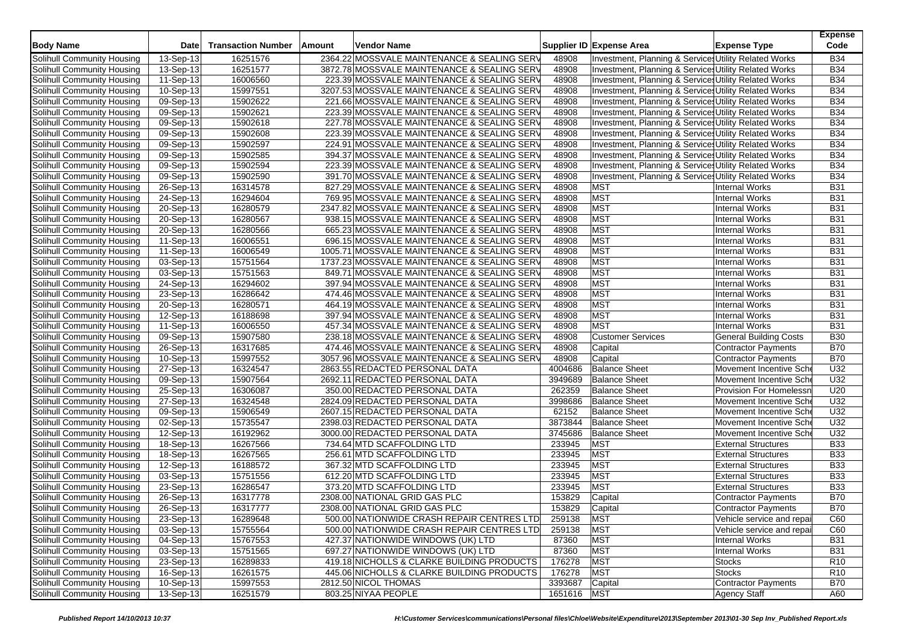| <b>Body Name</b>           | <b>Date</b>             | <b>Transaction Number</b> | Amount | Vendor Name                                 |             | Supplier ID Expense Area                                         | <b>Expense Type</b>           | <b>Expense</b><br>Code |
|----------------------------|-------------------------|---------------------------|--------|---------------------------------------------|-------------|------------------------------------------------------------------|-------------------------------|------------------------|
| Solihull Community Housing | 13-Sep-13               | 16251576                  |        | 2364.22 MOSSVALE MAINTENANCE & SEALING SERV | 48908       | Investment, Planning & Services Utility Related Works            |                               | <b>B34</b>             |
| Solihull Community Housing | 13-Sep-13               | 16251577                  |        | 3872.78 MOSSVALE MAINTENANCE & SEALING SERV | 48908       | Investment, Planning & Services Utility Related Works            |                               | <b>B34</b>             |
| Solihull Community Housing | 11-Sep-13               | 16006560                  |        | 223.39 MOSSVALE MAINTENANCE & SEALING SERV  | 48908       | Investment, Planning & Services Utility Related Works            |                               | <b>B34</b>             |
| Solihull Community Housing | 10-Sep-13               | 15997551                  |        | 3207.53 MOSSVALE MAINTENANCE & SEALING SERV | 48908       | Investment, Planning & Services Utility Related Works            |                               | <b>B34</b>             |
| Solihull Community Housing | 09-Sep-13               | 15902622                  |        | 221.66 MOSSVALE MAINTENANCE & SEALING SERV  | 48908       | Investment, Planning & Services Utility Related Works            |                               | <b>B34</b>             |
| Solihull Community Housing | 09-Sep-13               | 15902621                  |        | 223.39 MOSSVALE MAINTENANCE & SEALING SERV  | 48908       | Investment, Planning & Services Utility Related Works            |                               | <b>B34</b>             |
| Solihull Community Housing | 09-Sep-13               | 15902618                  |        | 227.78 MOSSVALE MAINTENANCE & SEALING SERV  | 48908       | <b>Investment, Planning &amp; Services Utility Related Works</b> |                               | <b>B34</b>             |
| Solihull Community Housing | 09-Sep-13               | 15902608                  |        | 223.39 MOSSVALE MAINTENANCE & SEALING SERV  | 48908       | Investment, Planning & Services Utility Related Works            |                               | <b>B34</b>             |
| Solihull Community Housing | 09-Sep-13               | 15902597                  |        | 224.91 MOSSVALE MAINTENANCE & SEALING SERV  | 48908       | Investment, Planning & Services Utility Related Works            |                               | <b>B34</b>             |
| Solihull Community Housing | 09-Sep-13               | 15902585                  |        | 394.37 MOSSVALE MAINTENANCE & SEALING SERV  | 48908       | Investment, Planning & Services Utility Related Works            |                               | <b>B34</b>             |
| Solihull Community Housing | $\overline{09}$ -Sep-13 | 15902594                  |        | 223.39 MOSSVALE MAINTENANCE & SEALING SERV  | 48908       | Investment, Planning & Services Utility Related Works            |                               | <b>B34</b>             |
| Solihull Community Housing | 09-Sep-13               | 15902590                  |        | 391.70 MOSSVALE MAINTENANCE & SEALING SERV  | 48908       | Investment, Planning & Services Utility Related Works            |                               | <b>B34</b>             |
| Solihull Community Housing | $\overline{26}$ -Sep-13 | 16314578                  |        | 827.29 MOSSVALE MAINTENANCE & SEALING SERV  | 48908       | <b>MST</b>                                                       | Internal Works                | <b>B31</b>             |
| Solihull Community Housing | 24-Sep-13               | 16294604                  |        | 769.95 MOSSVALE MAINTENANCE & SEALING SERV  | 48908       | <b>MST</b>                                                       | <b>Internal Works</b>         | <b>B31</b>             |
| Solihull Community Housing | 20-Sep-13               | 16280579                  |        | 2347.82 MOSSVALE MAINTENANCE & SEALING SERV | 48908       | <b>MST</b>                                                       | <b>Internal Works</b>         | <b>B31</b>             |
| Solihull Community Housing | 20-Sep-13               | 16280567                  |        | 938.15 MOSSVALE MAINTENANCE & SEALING SERV  | 48908       | <b>MST</b>                                                       | <b>Internal Works</b>         | <b>B31</b>             |
| Solihull Community Housing | 20-Sep-13               | 16280566                  |        | 665.23 MOSSVALE MAINTENANCE & SEALING SERV  | 48908       | <b>MST</b>                                                       | <b>Internal Works</b>         | <b>B31</b>             |
| Solihull Community Housing | 11-Sep-13               | 16006551                  |        | 696.15 MOSSVALE MAINTENANCE & SEALING SERV  | 48908       | <b>MST</b>                                                       | <b>Internal Works</b>         | <b>B31</b>             |
| Solihull Community Housing | 11-Sep-13               | 16006549                  |        | 1005.71 MOSSVALE MAINTENANCE & SEALING SERV | 48908       | <b>MST</b>                                                       | <b>Internal Works</b>         | <b>B31</b>             |
| Solihull Community Housing | 03-Sep-13               | 15751564                  |        | 1737.23 MOSSVALE MAINTENANCE & SEALING SERV | 48908       | <b>MST</b>                                                       | <b>Internal Works</b>         | <b>B31</b>             |
| Solihull Community Housing | 03-Sep-13               | 15751563                  |        | 849.71 MOSSVALE MAINTENANCE & SEALING SERV  | 48908       | <b>MST</b>                                                       | <b>Internal Works</b>         | <b>B31</b>             |
| Solihull Community Housing | 24-Sep-13               | 16294602                  |        | 397.94 MOSSVALE MAINTENANCE & SEALING SERV  | 48908       | <b>MST</b>                                                       | <b>Internal Works</b>         | <b>B31</b>             |
| Solihull Community Housing | 23-Sep-13               | 16286642                  |        | 474.46 MOSSVALE MAINTENANCE & SEALING SERV  | 48908       | <b>MST</b>                                                       | <b>Internal Works</b>         | <b>B31</b>             |
| Solihull Community Housing | 20-Sep-13               | 16280571                  |        | 464.19 MOSSVALE MAINTENANCE & SEALING SERV  | 48908       | <b>MST</b>                                                       | <b>Internal Works</b>         | <b>B31</b>             |
| Solihull Community Housing | 12-Sep-13               | 16188698                  |        | 397.94 MOSSVALE MAINTENANCE & SEALING SERV  | 48908       | <b>MST</b>                                                       | <b>Internal Works</b>         | <b>B31</b>             |
| Solihull Community Housing | 11-Sep-13               | 16006550                  |        | 457.34 MOSSVALE MAINTENANCE & SEALING SERV  | 48908       | <b>MST</b>                                                       | <b>Internal Works</b>         | <b>B31</b>             |
| Solihull Community Housing | 09-Sep-13               | 15907580                  |        | 238.18 MOSSVALE MAINTENANCE & SEALING SERV  | 48908       | <b>Customer Services</b>                                         | <b>General Building Costs</b> | <b>B30</b>             |
| Solihull Community Housing | 26-Sep-13               | 16317685                  |        | 474.46 MOSSVALE MAINTENANCE & SEALING SERV  | 48908       | Capital                                                          | <b>Contractor Payments</b>    | <b>B70</b>             |
| Solihull Community Housing | 10-Sep-13               | 15997552                  |        | 3057.96 MOSSVALE MAINTENANCE & SEALING SERV | 48908       | Capital                                                          | <b>Contractor Payments</b>    | <b>B70</b>             |
| Solihull Community Housing | 27-Sep-13               | 16324547                  |        | 2863.55 REDACTED PERSONAL DATA              | 4004686     | <b>Balance Sheet</b>                                             | Movement Incentive Sch        | U32                    |
| Solihull Community Housing | 09-Sep-13               | 15907564                  |        | 2692.11 REDACTED PERSONAL DATA              | 3949689     | <b>Balance Sheet</b>                                             | Movement Incentive Sche       | U32                    |
| Solihull Community Housing | 25-Sep-13               | 16306087                  |        | 350.00 REDACTED PERSONAL DATA               | 262359      | <b>Balance Sheet</b>                                             | Provision For Homelessn       | U20                    |
| Solihull Community Housing | 27-Sep-13               | 16324548                  |        | 2824.09 REDACTED PERSONAL DATA              | 3998686     | <b>Balance Sheet</b>                                             | Movement Incentive Sche       | U32                    |
| Solihull Community Housing | 09-Sep-13               | 15906549                  |        | 2607.15 REDACTED PERSONAL DATA              | 62152       | <b>Balance Sheet</b>                                             | Movement Incentive Sch        | U32                    |
| Solihull Community Housing | 02-Sep-13               | 15735547                  |        | 2398.03 REDACTED PERSONAL DATA              | 3873844     | <b>Balance Sheet</b>                                             | Movement Incentive Sch        | U32                    |
| Solihull Community Housing | 12-Sep-13               | 16192962                  |        | 3000.00 REDACTED PERSONAL DATA              | 3745686     | <b>Balance Sheet</b>                                             | Movement Incentive Sch        | U32                    |
| Solihull Community Housing | 18-Sep-13               | 16267566                  |        | 734.64 MTD SCAFFOLDING LTD                  | 233945      | <b>MST</b>                                                       | <b>External Structures</b>    | <b>B33</b>             |
| Solihull Community Housing | 18-Sep-13               | 16267565                  |        | 256.61 MTD SCAFFOLDING LTD                  | 233945      | <b>MST</b>                                                       | <b>External Structures</b>    | <b>B33</b>             |
| Solihull Community Housing | 12-Sep-13               | 16188572                  |        | 367.32 MTD SCAFFOLDING LTD                  | 233945      | <b>MST</b>                                                       | <b>External Structures</b>    | <b>B33</b>             |
| Solihull Community Housing | $\overline{03}$ -Sep-13 | 15751556                  |        | 612.20 MTD SCAFFOLDING LTD                  | 233945      | <b>MST</b>                                                       | <b>External Structures</b>    | <b>B33</b>             |
| Solihull Community Housing | 23-Sep-13               | 16286547                  |        | 373.20 MTD SCAFFOLDING LTD                  | 233945      | <b>MST</b>                                                       | <b>External Structures</b>    | <b>B33</b>             |
| Solihull Community Housing | 26-Sep-13               | 16317778                  |        | 2308.00 NATIONAL GRID GAS PLC               | 153829      | Capital                                                          | <b>Contractor Payments</b>    | <b>B70</b>             |
| Solihull Community Housing | 26-Sep-13               | 16317777                  |        | 2308.00 NATIONAL GRID GAS PLC               | 153829      | Capital                                                          | <b>Contractor Payments</b>    | <b>B70</b>             |
| Solihull Community Housing | 23-Sep-13               | 16289648                  |        | 500.00 NATIONWIDE CRASH REPAIR CENTRES LTD  | 259138      | <b>MST</b>                                                       | Vehicle service and repai     | C60                    |
| Solihull Community Housing | 03-Sep-13               | 15755564                  |        | 500.00 NATIONWIDE CRASH REPAIR CENTRES LTD  | 259138      | <b>MST</b>                                                       | Vehicle service and repai     | C60                    |
| Solihull Community Housing | 04-Sep-13               | 15767553                  |        | 427.37 NATIONWIDE WINDOWS (UK) LTD          | 87360       | <b>MST</b>                                                       | <b>Internal Works</b>         | <b>B31</b>             |
| Solihull Community Housing | 03-Sep-13               | 15751565                  |        | 697.27 NATIONWIDE WINDOWS (UK) LTD          | 87360       | <b>MST</b>                                                       | Internal Works                | <b>B31</b>             |
| Solihull Community Housing | 23-Sep-13               | 16289833                  |        | 419.18 NICHOLLS & CLARKE BUILDING PRODUCTS  | 176278      | <b>MST</b>                                                       | <b>Stocks</b>                 | R <sub>10</sub>        |
| Solihull Community Housing | 16-Sep-13               | 16261575                  |        | 445.06 NICHOLLS & CLARKE BUILDING PRODUCTS  | 176278      | <b>MST</b>                                                       | <b>Stocks</b>                 | R <sub>10</sub>        |
| Solihull Community Housing | 10-Sep-13               | 15997553                  |        | 2812.50 NICOL THOMAS                        | 3393687     | Capital                                                          | <b>Contractor Payments</b>    | <b>B70</b>             |
| Solihull Community Housing | 13-Sep-13               | 16251579                  |        | 803.25 NIYAA PEOPLE                         | 1651616 MST |                                                                  | <b>Agency Staff</b>           | A60                    |
|                            |                         |                           |        |                                             |             |                                                                  |                               |                        |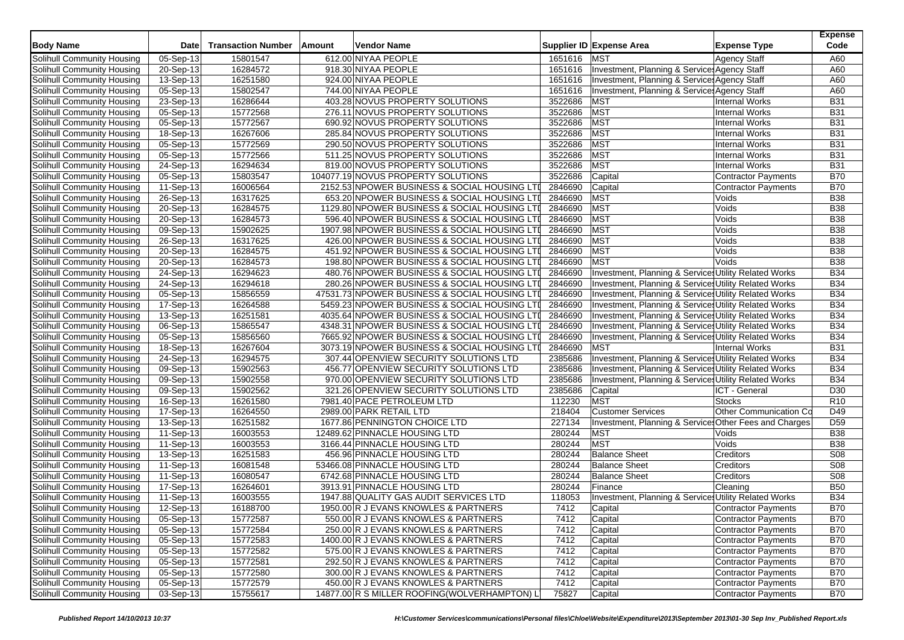| <b>Body Name</b>           | <b>Date</b>             | <b>Transaction Number</b> | Amount | <b>Vendor Name</b>                            |         | Supplier ID Expense Area                                         | <b>Expense Type</b>        | <b>Expense</b><br>Code |
|----------------------------|-------------------------|---------------------------|--------|-----------------------------------------------|---------|------------------------------------------------------------------|----------------------------|------------------------|
| Solihull Community Housing | 05-Sep-13               | 15801547                  |        | 612.00 NIYAA PEOPLE                           | 1651616 | <b>MST</b>                                                       | <b>Agency Staff</b>        | A60                    |
| Solihull Community Housing | 20-Sep-13               | 16284572                  |        | 918.30 NIYAA PEOPLE                           | 1651616 | Investment, Planning & Service Agency Staff                      |                            | A60                    |
| Solihull Community Housing | 13-Sep-13               | 16251580                  |        | 924.00 NIYAA PEOPLE                           | 1651616 | Investment, Planning & Service Agency Staff                      |                            | A60                    |
| Solihull Community Housing | 05-Sep-13               | 15802547                  |        | 744.00 NIYAA PEOPLE                           | 1651616 | Investment, Planning & Service: Agency Staff                     |                            | A60                    |
| Solihull Community Housing | 23-Sep-13               | 16286644                  |        | 403.28 NOVUS PROPERTY SOLUTIONS               | 3522686 | <b>MST</b>                                                       | <b>Internal Works</b>      | <b>B31</b>             |
| Solihull Community Housing | 05-Sep-13               | 15772568                  |        | 276.11 NOVUS PROPERTY SOLUTIONS               | 3522686 | <b>MST</b>                                                       | <b>Internal Works</b>      | <b>B31</b>             |
| Solihull Community Housing | 05-Sep-13               | 15772567                  |        | 690.92 NOVUS PROPERTY SOLUTIONS               | 3522686 | <b>MST</b>                                                       | <b>Internal Works</b>      | <b>B31</b>             |
| Solihull Community Housing | 18-Sep-13               | 16267606                  |        | 285.84 NOVUS PROPERTY SOLUTIONS               | 3522686 | <b>MST</b>                                                       | <b>Internal Works</b>      | <b>B31</b>             |
| Solihull Community Housing | 05-Sep-13               | 15772569                  |        | 290.50 NOVUS PROPERTY SOLUTIONS               | 3522686 | <b>MST</b>                                                       | <b>Internal Works</b>      | <b>B31</b>             |
| Solihull Community Housing | 05-Sep-13               | 15772566                  |        | 511.25 NOVUS PROPERTY SOLUTIONS               | 3522686 | MST                                                              | <b>Internal Works</b>      | <b>B31</b>             |
| Solihull Community Housing | 24-Sep-13               | 16294634                  |        | 819.00 NOVUS PROPERTY SOLUTIONS               | 3522686 | <b>MST</b>                                                       | <b>Internal Works</b>      | <b>B31</b>             |
| Solihull Community Housing | 05-Sep-13               | 15803547                  |        | 104077.19 NOVUS PROPERTY SOLUTIONS            | 3522686 | Capital                                                          | <b>Contractor Payments</b> | <b>B70</b>             |
| Solihull Community Housing | 11-Sep-13               | 16006564                  |        | 2152.53 NPOWER BUSINESS & SOCIAL HOUSING LTI  | 2846690 | Capital                                                          | <b>Contractor Payments</b> | <b>B70</b>             |
| Solihull Community Housing | 26-Sep-13               | 16317625                  |        | 653.20 NPOWER BUSINESS & SOCIAL HOUSING LTI   | 2846690 | <b>MST</b>                                                       | Voids                      | <b>B38</b>             |
| Solihull Community Housing | 20-Sep-13               | 16284575                  |        | 1129.80 NPOWER BUSINESS & SOCIAL HOUSING LTI  | 2846690 | <b>MST</b>                                                       | Voids                      | <b>B38</b>             |
| Solihull Community Housing | $\overline{20}$ -Sep-13 | 16284573                  |        | 596.40 NPOWER BUSINESS & SOCIAL HOUSING LTI   | 2846690 | <b>MST</b>                                                       | Voids                      | <b>B38</b>             |
| Solihull Community Housing | $09-Sep-13$             | 15902625                  |        | 1907.98 NPOWER BUSINESS & SOCIAL HOUSING LTI  | 2846690 | MST                                                              | Voids                      | <b>B38</b>             |
| Solihull Community Housing | 26-Sep-13               | 16317625                  |        | 426.00 NPOWER BUSINESS & SOCIAL HOUSING LTI   | 2846690 | <b>MST</b>                                                       | Voids                      | <b>B38</b>             |
| Solihull Community Housing | 20-Sep-13               | 16284575                  |        | 451.92 NPOWER BUSINESS & SOCIAL HOUSING LTI   | 2846690 | <b>MST</b>                                                       | Voids                      | <b>B38</b>             |
| Solihull Community Housing | 20-Sep-13               | 16284573                  |        | 198.80 NPOWER BUSINESS & SOCIAL HOUSING LTI   | 2846690 | <b>MST</b>                                                       | Voids                      | <b>B38</b>             |
| Solihull Community Housing | 24-Sep-13               | 16294623                  |        | 480.76 NPOWER BUSINESS & SOCIAL HOUSING LTI   | 2846690 | Investment, Planning & Services Utility Related Works            |                            | <b>B34</b>             |
| Solihull Community Housing | 24-Sep-13               | 16294618                  |        | 280.26 NPOWER BUSINESS & SOCIAL HOUSING LTI   | 2846690 | Investment, Planning & Services Utility Related Works            |                            | <b>B34</b>             |
| Solihull Community Housing | 05-Sep-13               | 15856559                  |        | 47531.73 NPOWER BUSINESS & SOCIAL HOUSING LTI | 2846690 | Investment, Planning & Services Utility Related Works            |                            | <b>B34</b>             |
| Solihull Community Housing | 17-Sep-13               | 16264588                  |        | 5459.23 NPOWER BUSINESS & SOCIAL HOUSING LTI  | 2846690 | <b>Investment, Planning &amp; Services Utility Related Works</b> |                            | <b>B34</b>             |
| Solihull Community Housing | 13-Sep-13               | 16251581                  |        | 4035.64 NPOWER BUSINESS & SOCIAL HOUSING LTI  | 2846690 | Investment, Planning & Services Utility Related Works            |                            | <b>B34</b>             |
| Solihull Community Housing | 06-Sep-13               | 15865547                  |        | 4348.31 NPOWER BUSINESS & SOCIAL HOUSING LTI  | 2846690 | Investment, Planning & Services Utility Related Works            |                            | <b>B34</b>             |
| Solihull Community Housing | $05-Sep-13$             | 15856560                  |        | 7665.92 NPOWER BUSINESS & SOCIAL HOUSING LTI  | 2846690 | Investment, Planning & Services Utility Related Works            |                            | <b>B34</b>             |
| Solihull Community Housing | 18-Sep-13               | 16267604                  |        | 3073.19 NPOWER BUSINESS & SOCIAL HOUSING LTI  | 2846690 | <b>MST</b>                                                       | <b>Internal Works</b>      | <b>B31</b>             |
| Solihull Community Housing | 24-Sep-13               | 16294575                  |        | 307.44 OPENVIEW SECURITY SOLUTIONS LTD        | 2385686 | Investment, Planning & Services Utility Related Works            |                            | <b>B34</b>             |
| Solihull Community Housing | 09-Sep-13               | 15902563                  |        | 456.77 OPENVIEW SECURITY SOLUTIONS LTD        | 2385686 | Investment, Planning & Services Utility Related Works            |                            | <b>B34</b>             |
| Solihull Community Housing | 09-Sep-13               | 15902558                  |        | 970.00 OPENVIEW SECURITY SOLUTIONS LTD        | 2385686 | Investment, Planning & Services Utility Related Works            |                            | <b>B34</b>             |
| Solihull Community Housing | 09-Sep-13               | 15902562                  |        | 321.26 OPENVIEW SECURITY SOLUTIONS LTD        | 2385686 | Capital                                                          | ICT - General              | D30                    |
| Solihull Community Housing | 16-Sep-13               | 16261580                  |        | 7981.40 PACE PETROLEUM LTD                    | 112230  | <b>MST</b>                                                       | <b>Stocks</b>              | R <sub>10</sub>        |
| Solihull Community Housing | 17-Sep-13               | 16264550                  |        | 2989.00 PARK RETAIL LTD                       | 218404  | <b>Customer Services</b>                                         | Other Communication Co     | D49                    |
| Solihull Community Housing | 13-Sep-13               | 16251582                  |        | 1677.86 PENNINGTON CHOICE LTD                 | 227134  | Investment, Planning & Services Other Fees and Charges           |                            | D <sub>59</sub>        |
| Solihull Community Housing | $11-Sep-13$             | 16003553                  |        | 12489.62 PINNACLE HOUSING LTD                 | 280244  | <b>MST</b>                                                       | Voids                      | <b>B38</b>             |
| Solihull Community Housing | 11-Sep-13               | 16003553                  |        | 3166.44 PINNACLE HOUSING LTD                  | 280244  | <b>MST</b>                                                       | Voids                      | <b>B38</b>             |
| Solihull Community Housing | 13-Sep-13               | 16251583                  |        | 456.96 PINNACLE HOUSING LTD                   | 280244  | <b>Balance Sheet</b>                                             | Creditors                  | S08                    |
| Solihull Community Housing | 11-Sep-13               | 16081548                  |        | 53466.08 PINNACLE HOUSING LTD                 | 280244  | <b>Balance Sheet</b>                                             | Creditors                  | S08                    |
| Solihull Community Housing | 11-Sep-13               | 16080547                  |        | 6742.68 PINNACLE HOUSING LTD                  | 280244  | <b>Balance Sheet</b>                                             | Creditors                  | <b>S08</b>             |
| Solihull Community Housing | 17-Sep-13               | 16264601                  |        | 3913.91 PINNACLE HOUSING LTD                  | 280244  | Finance                                                          | Cleaning                   | <b>B50</b>             |
| Solihull Community Housing | $11-Sep-13$             | 16003555                  |        | 1947.88 QUALITY GAS AUDIT SERVICES LTD        | 118053  | Investment, Planning & Services Utility Related Works            |                            | <b>B34</b>             |
| Solihull Community Housing | 12-Sep-13               | 16188700                  |        | 1950.00 R J EVANS KNOWLES & PARTNERS          | 7412    | Capital                                                          | <b>Contractor Payments</b> | <b>B70</b>             |
| Solihull Community Housing | 05-Sep-13               | 15772587                  |        | 550.00 R J EVANS KNOWLES & PARTNERS           | 7412    | Capital                                                          | Contractor Payments        | <b>B70</b>             |
| Solihull Community Housing | 05-Sep-13               | 15772584                  |        | 250.00 R J EVANS KNOWLES & PARTNERS           | 7412    | Capital                                                          | Contractor Payments        | <b>B70</b>             |
| Solihull Community Housing | 05-Sep-13               | 15772583                  |        | 1400.00 R J EVANS KNOWLES & PARTNERS          | 7412    | Capital                                                          | Contractor Payments        | <b>B70</b>             |
| Solihull Community Housing | 05-Sep-13               | 15772582                  |        | 575.00 R J EVANS KNOWLES & PARTNERS           | 7412    | Capital                                                          | Contractor Payments        | <b>B70</b>             |
| Solihull Community Housing | 05-Sep-13               | 15772581                  |        | 292.50 R J EVANS KNOWLES & PARTNERS           | 7412    | Capital                                                          | Contractor Payments        | <b>B70</b>             |
| Solihull Community Housing | 05-Sep-13               | 15772580                  |        | 300.00 R J EVANS KNOWLES & PARTNERS           | 7412    | Capital                                                          | Contractor Payments        | <b>B70</b>             |
| Solihull Community Housing | 05-Sep-13               | 15772579                  |        | 450.00 R J EVANS KNOWLES & PARTNERS           | 7412    | Capital                                                          | Contractor Payments        | <b>B70</b>             |
| Solihull Community Housing | 03-Sep-13               | 15755617                  |        | 14877.00 R S MILLER ROOFING(WOLVERHAMPTON) L  | 75827   | Capital                                                          | Contractor Payments        | <b>B70</b>             |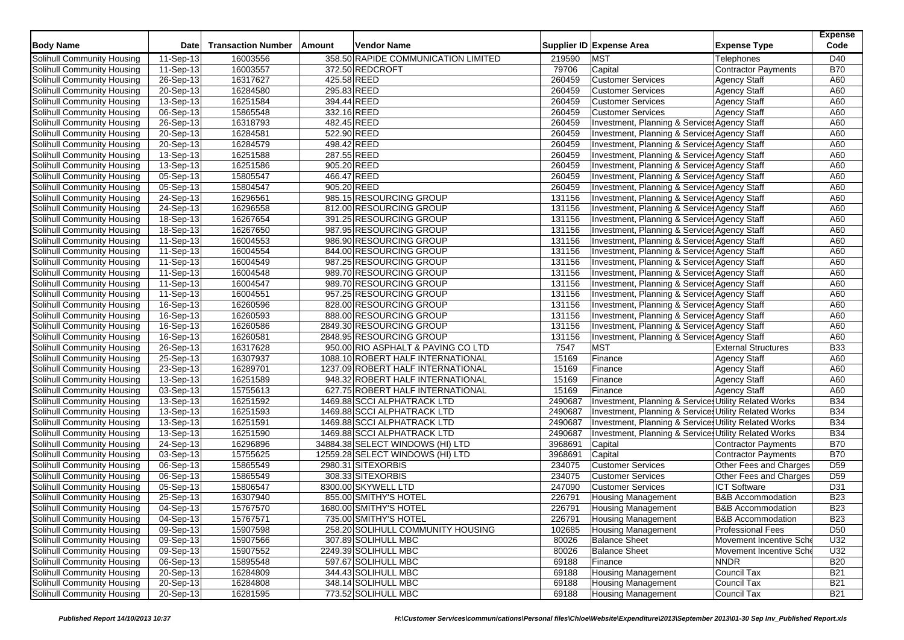| <b>Body Name</b>                  | <b>Date</b>             | <b>Transaction Number</b> | Amount      | <b>Vendor Name</b>                  |         | Supplier ID Expense Area                              | <b>Expense Type</b>          | <b>Expense</b><br>Code |
|-----------------------------------|-------------------------|---------------------------|-------------|-------------------------------------|---------|-------------------------------------------------------|------------------------------|------------------------|
| Solihull Community Housing        | 11-Sep-13               | 16003556                  |             | 358.50 RAPIDE COMMUNICATION LIMITED | 219590  | <b>MST</b>                                            | <b>Telephones</b>            | D40                    |
| Solihull Community Housing        | 11-Sep-13               | 16003557                  |             | 372.50 REDCROFT                     | 79706   | Capital                                               | <b>Contractor Payments</b>   | <b>B70</b>             |
| Solihull Community Housing        | 26-Sep-13               | 16317627                  | 425.58 REED |                                     | 260459  | <b>Customer Services</b>                              | <b>Agency Staff</b>          | A60                    |
| Solihull Community Housing        | 20-Sep-13               | 16284580                  |             | 295.83 REED                         | 260459  | <b>Customer Services</b>                              | <b>Agency Staff</b>          | A60                    |
| Solihull Community Housing        | 13-Sep-13               | 16251584                  | 394.44 REED |                                     | 260459  | <b>Customer Services</b>                              | <b>Agency Staff</b>          | A60                    |
| Solihull Community Housing        | 06-Sep-13               | 15865548                  |             | 332.16 REED                         | 260459  | <b>Customer Services</b>                              | Agency Staff                 | A60                    |
| Solihull Community Housing        | 26-Sep-13               | 16318793                  |             | 482.45 REED                         | 260459  | Investment, Planning & Service: Agency Staff          |                              | A60                    |
| Solihull Community Housing        | 20-Sep-13               | 16284581                  | 522.90 REED |                                     | 260459  | Investment, Planning & Service Agency Staff           |                              | A60                    |
| Solihull Community Housing        | 20-Sep-13               | 16284579                  | 498.42 REED |                                     | 260459  | Investment, Planning & Service Agency Staff           |                              | A60                    |
| Solihull Community Housing        | 13-Sep-13               | 16251588                  |             | 287.55 REED                         | 260459  | Investment, Planning & Service: Agency Staff          |                              | A60                    |
| Solihull Community Housing        | 13-Sep-13               | 16251586                  | 905.20 REED |                                     | 260459  | Investment, Planning & Services Agency Staff          |                              | A60                    |
| Solihull Community Housing        | 05-Sep-13               | 15805547                  | 466.47 REED |                                     | 260459  | Investment, Planning & Services Agency Staff          |                              | A60                    |
| Solihull Community Housing        | 05-Sep-13               | 15804547                  | 905.20 REED |                                     | 260459  | Investment, Planning & Services Agency Staff          |                              | A60                    |
| Solihull Community Housing        | 24-Sep-13               | 16296561                  |             | 985.15 RESOURCING GROUP             | 131156  | Investment, Planning & Services Agency Staff          |                              | A60                    |
| Solihull Community Housing        | 24-Sep-13               | 16296558                  |             | 812.00 RESOURCING GROUP             | 131156  | Investment, Planning & Service Agency Staff           |                              | A60                    |
| Solihull Community Housing        | $\overline{18}$ -Sep-13 | 16267654                  |             | 391.25 RESOURCING GROUP             | 131156  | Investment, Planning & Services Agency Staff          |                              | A60                    |
| Solihull Community Housing        | 18-Sep-13               | 16267650                  |             | 987.95 RESOURCING GROUP             | 131156  | Investment, Planning & Services Agency Staff          |                              | A60                    |
| Solihull Community Housing        | 11-Sep-13               | 16004553                  |             | 986.90 RESOURCING GROUP             | 131156  | Investment, Planning & Service Agency Staff           |                              | A60                    |
| Solihull Community Housing        | 11-Sep-13               | 16004554                  |             | 844.00 RESOURCING GROUP             | 131156  | Investment, Planning & Services Agency Staff          |                              | A60                    |
| Solihull Community Housing        | 11-Sep-13               | 16004549                  |             | 987.25 RESOURCING GROUP             | 131156  | Investment, Planning & Services Agency Staff          |                              | A60                    |
| Solihull Community Housing        | 11-Sep-13               | 16004548                  |             | 989.70 RESOURCING GROUP             | 131156  | Investment, Planning & Service Agency Staff           |                              | A60                    |
| Solihull Community Housing        | 11-Sep-13               | 16004547                  |             | 989.70 RESOURCING GROUP             | 131156  | Investment, Planning & Services Agency Staff          |                              | A60                    |
| Solihull Community Housing        | 11-Sep-13               | 16004551                  |             | 957.25 RESOURCING GROUP             | 131156  | Investment, Planning & Services Agency Staff          |                              | A60                    |
| Solihull Community Housing        | 16-Sep-13               | 16260596                  |             | 828.00 RESOURCING GROUP             | 131156  | Investment, Planning & Service Agency Staff           |                              | A60                    |
| Solihull Community Housing        | 16-Sep-13               | 16260593                  |             | 888.00 RESOURCING GROUP             | 131156  | Investment, Planning & Services Agency Staff          |                              | A60                    |
| Solihull Community Housing        | 16-Sep-13               | 16260586                  |             | 2849.30 RESOURCING GROUP            | 131156  | Investment, Planning & Services Agency Staff          |                              | A60                    |
| Solihull Community Housing        | $16-Sep-13$             | 16260581                  |             | 2848.95 RESOURCING GROUP            | 131156  | Investment, Planning & Service Agency Staff           |                              | A60                    |
| Solihull Community Housing        | 26-Sep-13               | 16317628                  |             | 950.00 RIO ASPHALT & PAVING CO LTD  | 7547    | <b>MST</b>                                            | <b>External Structures</b>   | <b>B33</b>             |
| Solihull Community Housing        | 25-Sep-13               | 16307937                  |             | 1088.10 ROBERT HALF INTERNATIONAL   | 15169   | Finance                                               | <b>Agency Staff</b>          | A60                    |
| Solihull Community Housing        | 23-Sep-13               | 16289701                  |             | 1237.09 ROBERT HALF INTERNATIONAL   | 15169   | Finance                                               | <b>Agency Staff</b>          | A60                    |
| Solihull Community Housing        | $\overline{13}$ -Sep-13 | 16251589                  |             | 948.32 ROBERT HALF INTERNATIONAL    | 15169   | Finance                                               | <b>Agency Staff</b>          | A60                    |
| Solihull Community Housing        | 03-Sep-13               | 15755613                  |             | 627.75 ROBERT HALF INTERNATIONAL    | 15169   | Finance                                               | <b>Agency Staff</b>          | A60                    |
| Solihull Community Housing        | 13-Sep-13               | 16251592                  |             | 1469.88 SCCI ALPHATRACK LTD         | 2490687 | Investment, Planning & Services Utility Related Works |                              | <b>B34</b>             |
| Solihull Community Housing        | 13-Sep-13               | 16251593                  |             | 1469.88 SCCI ALPHATRACK LTD         | 2490687 | Investment, Planning & Services Utility Related Works |                              | <b>B34</b>             |
| Solihull Community Housing        | 13-Sep-13               | 16251591                  |             | 1469.88 SCCI ALPHATRACK LTD         | 2490687 | Investment, Planning & Services Utility Related Works |                              | <b>B34</b>             |
| Solihull Community Housing        | $13-Sep-13$             | 16251590                  |             | 1469.88 SCCI ALPHATRACK LTD         | 2490687 | Investment, Planning & Services Utility Related Works |                              | <b>B34</b>             |
| Solihull Community Housing        | 24-Sep-13               | 16296896                  |             | 34884.38 SELECT WINDOWS (HI) LTD    | 3968691 | Capital                                               | Contractor Payments          | <b>B70</b>             |
| Solihull Community Housing        | 03-Sep-13               | 15755625                  |             | 12559.28 SELECT WINDOWS (HI) LTD    | 3968691 | Capital                                               | <b>Contractor Payments</b>   | <b>B70</b>             |
| Solihull Community Housing        | 06-Sep-13               | 15865549                  |             | 2980.31 SITEXORBIS                  | 234075  | <b>Customer Services</b>                              | Other Fees and Charges       | D <sub>59</sub>        |
| Solihull Community Housing        | 06-Sep-13               | 15865549                  |             | 308.33 SITEXORBIS                   | 234075  | <b>Customer Services</b>                              | Other Fees and Charges       | D <sub>59</sub>        |
| Solihull Community Housing        | 05-Sep-13               | 15806547                  |             | 8300.00 SKYWELL LTD                 | 247090  | <b>Customer Services</b>                              | <b>ICT Software</b>          | D31                    |
| Solihull Community Housing        | 25-Sep-13               | 16307940                  |             | 855.00 SMITHY'S HOTEL               | 226791  | <b>Housing Management</b>                             | <b>B&amp;B</b> Accommodation | <b>B23</b>             |
| Solihull Community Housing        | 04-Sep-13               | 15767570                  |             | 1680.00 SMITHY'S HOTEL              | 226791  | <b>Housing Management</b>                             | <b>B&amp;B Accommodation</b> | <b>B23</b>             |
| Solihull Community Housing        | 04-Sep-13               | 15767571                  |             | 735.00 SMITHY'S HOTEL               | 226791  | <b>Housing Management</b>                             | <b>B&amp;B Accommodation</b> | <b>B23</b>             |
| Solihull Community Housing        | 09-Sep-13               | 15907598                  |             | 258.20 SOLIHULL COMMUNITY HOUSING   | 102685  | <b>Housing Management</b>                             | <b>Professional Fees</b>     | D <sub>50</sub>        |
| Solihull Community Housing        | 09-Sep-13               | 15907566                  |             | 307.89 SOLIHULL MBC                 | 80026   | <b>Balance Sheet</b>                                  | Movement Incentive Sche      | U32                    |
| Solihull Community Housing        | 09-Sep-13               | 15907552                  |             | 2249.39 SOLIHULL MBC                | 80026   | <b>Balance Sheet</b>                                  | Movement Incentive Sche      | U32                    |
| Solihull Community Housing        | 06-Sep-13               | 15895548                  |             | 597.67 SOLIHULL MBC                 | 69188   | Finance                                               | <b>NNDR</b>                  | <b>B20</b>             |
| Solihull Community Housing        | 20-Sep-13               | 16284809                  |             | 344.43 SOLIHULL MBC                 | 69188   | <b>Housing Management</b>                             | Council Tax                  | <b>B21</b>             |
| <b>Solihull Community Housing</b> | 20-Sep-13               | 16284808                  |             | 348.14 SOLIHULL MBC                 | 69188   | <b>Housing Management</b>                             | Council Tax                  | <b>B21</b>             |
| Solihull Community Housing        | 20-Sep-13               | 16281595                  |             | 773.52 SOLIHULL MBC                 | 69188   | <b>Housing Management</b>                             | Council Tax                  | <b>B21</b>             |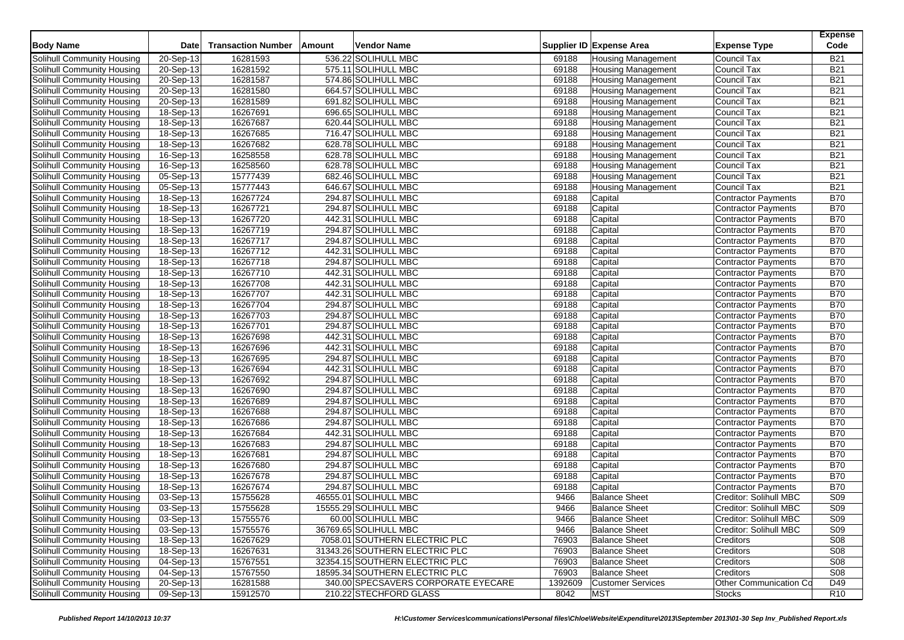| <b>Body Name</b>                  | Date                    | <b>Transaction Number</b> | Amount | <b>Vendor Name</b>                  |         | Supplier ID Expense Area  | <b>Expense Type</b>        | <b>Expense</b><br>Code |
|-----------------------------------|-------------------------|---------------------------|--------|-------------------------------------|---------|---------------------------|----------------------------|------------------------|
| Solihull Community Housing        | 20-Sep-13               | 16281593                  |        | 536.22 SOLIHULL MBC                 | 69188   | <b>Housing Management</b> | Council Tax                | <b>B21</b>             |
| Solihull Community Housing        | 20-Sep-13               | 16281592                  |        | 575.11 SOLIHULL MBC                 | 69188   | <b>Housing Management</b> | <b>Council Tax</b>         | <b>B21</b>             |
| Solihull Community Housing        | 20-Sep-13               | 16281587                  |        | 574.86 SOLIHULL MBC                 | 69188   | <b>Housing Management</b> | Council Tax                | <b>B21</b>             |
| Solihull Community Housing        | 20-Sep-13               | 16281580                  |        | 664.57 SOLIHULL MBC                 | 69188   | <b>Housing Management</b> | <b>Council Tax</b>         | <b>B21</b>             |
| Solihull Community Housing        | 20-Sep-13               | 16281589                  |        | 691.82 SOLIHULL MBC                 | 69188   | <b>Housing Management</b> | <b>Council Tax</b>         | <b>B21</b>             |
| Solihull Community Housing        | 18-Sep-13               | 16267691                  |        | 696.65 SOLIHULL MBC                 | 69188   | <b>Housing Management</b> | Council Tax                | <b>B21</b>             |
| Solihull Community Housing        | 18-Sep-13               | 16267687                  |        | 620.44 SOLIHULL MBC                 | 69188   | <b>Housing Management</b> | Council Tax                | <b>B21</b>             |
| Solihull Community Housing        | 18-Sep-13               | 16267685                  |        | 716.47 SOLIHULL MBC                 | 69188   | <b>Housing Management</b> | Council Tax                | <b>B21</b>             |
| Solihull Community Housing        | 18-Sep-13               | 16267682                  |        | 628.78 SOLIHULL MBC                 | 69188   | <b>Housing Management</b> | Council Tax                | <b>B21</b>             |
| Solihull Community Housing        | 16-Sep-13               | 16258558                  |        | 628.78 SOLIHULL MBC                 | 69188   | <b>Housing Management</b> | Council Tax                | <b>B21</b>             |
| Solihull Community Housing        | 16-Sep-13               | 16258560                  |        | 628.78 SOLIHULL MBC                 | 69188   | <b>Housing Management</b> | Council Tax                | <b>B21</b>             |
| Solihull Community Housing        | 05-Sep-13               | 15777439                  |        | 682.46 SOLIHULL MBC                 | 69188   | <b>Housing Management</b> | Council Tax                | <b>B21</b>             |
| Solihull Community Housing        | 05-Sep-13               | 15777443                  |        | 646.67 SOLIHULL MBC                 | 69188   | <b>Housing Management</b> | Council Tax                | <b>B21</b>             |
| Solihull Community Housing        | 18-Sep-13               | 16267724                  |        | 294.87 SOLIHULL MBC                 | 69188   | Capital                   | Contractor Payments        | <b>B70</b>             |
| Solihull Community Housing        | 18-Sep-13               | 16267721                  |        | 294.87 SOLIHULL MBC                 | 69188   | Capital                   | Contractor Payments        | <b>B70</b>             |
| Solihull Community Housing        | 18-Sep-13               | 16267720                  |        | 442.31 SOLIHULL MBC                 | 69188   | Capital                   | <b>Contractor Payments</b> | <b>B70</b>             |
| Solihull Community Housing        | 18-Sep-13               | 16267719                  |        | 294.87 SOLIHULL MBC                 | 69188   | Capital                   | Contractor Payments        | <b>B70</b>             |
| Solihull Community Housing        | 18-Sep-13               | 16267717                  |        | 294.87 SOLIHULL MBC                 | 69188   | Capital                   | Contractor Payments        | <b>B70</b>             |
| Solihull Community Housing        | 18-Sep-13               | 16267712                  |        | 442.31 SOLIHULL MBC                 | 69188   | Capital                   | <b>Contractor Payments</b> | <b>B70</b>             |
| Solihull Community Housing        | 18-Sep-13               | 16267718                  |        | 294.87 SOLIHULL MBC                 | 69188   | Capital                   | Contractor Payments        | <b>B70</b>             |
| Solihull Community Housing        | 18-Sep-13               | 16267710                  |        | 442.31 SOLIHULL MBC                 | 69188   | Capital                   | Contractor Payments        | <b>B70</b>             |
| Solihull Community Housing        | 18-Sep-13               | 16267708                  |        | 442.31 SOLIHULL MBC                 | 69188   | Capital                   | Contractor Payments        | <b>B70</b>             |
| Solihull Community Housing        | 18-Sep-13               | 16267707                  |        | 442.31 SOLIHULL MBC                 | 69188   | Capital                   | <b>Contractor Payments</b> | <b>B70</b>             |
| Solihull Community Housing        | 18-Sep-13               | 16267704                  |        | 294.87 SOLIHULL MBC                 | 69188   | Capital                   | Contractor Payments        | <b>B70</b>             |
| Solihull Community Housing        | $\overline{18}$ -Sep-13 | 16267703                  |        | 294.87 SOLIHULL MBC                 | 69188   | Capital                   | <b>Contractor Payments</b> | <b>B70</b>             |
| Solihull Community Housing        | $18-Sep-13$             | 16267701                  |        | 294.87 SOLIHULL MBC                 | 69188   | Capital                   | <b>Contractor Payments</b> | <b>B70</b>             |
| Solihull Community Housing        | $\overline{18}$ -Sep-13 | 16267698                  |        | 442.31 SOLIHULL MBC                 | 69188   | Capital                   | Contractor Payments        | <b>B70</b>             |
| Solihull Community Housing        | $\overline{18}$ -Sep-13 | 16267696                  |        | 442.31 SOLIHULL MBC                 | 69188   | Capital                   | Contractor Payments        | <b>B70</b>             |
| Solihull Community Housing        | 18-Sep-13               | 16267695                  |        | 294.87 SOLIHULL MBC                 | 69188   | Capital                   | Contractor Payments        | <b>B70</b>             |
| Solihull Community Housing        | $18-Sep-13$             | 16267694                  |        | 442.31 SOLIHULL MBC                 | 69188   | Capital                   | <b>Contractor Payments</b> | <b>B70</b>             |
| Solihull Community Housing        | $\overline{18}$ -Sep-13 | 16267692                  |        | 294.87 SOLIHULL MBC                 | 69188   | Capital                   | Contractor Payments        | <b>B70</b>             |
| Solihull Community Housing        | 18-Sep-13               | 16267690                  |        | 294.87 SOLIHULL MBC                 | 69188   | Capital                   | Contractor Payments        | <b>B70</b>             |
| Solihull Community Housing        | 18-Sep-13               | 16267689                  |        | 294.87 SOLIHULL MBC                 | 69188   | Capital                   | <b>Contractor Payments</b> | <b>B70</b>             |
| Solihull Community Housing        | 18-Sep-13               | 16267688                  |        | 294.87 SOLIHULL MBC                 | 69188   | Capital                   | Contractor Payments        | <b>B70</b>             |
| Solihull Community Housing        | 18-Sep-13               | 16267686                  |        | 294.87 SOLIHULL MBC                 | 69188   | Capital                   | Contractor Payments        | <b>B70</b>             |
| Solihull Community Housing        | 18-Sep-13               | 16267684                  |        | 442.31 SOLIHULL MBC                 | 69188   | Capital                   | <b>Contractor Payments</b> | <b>B70</b>             |
| Solihull Community Housing        | 18-Sep-13               | 16267683                  |        | 294.87 SOLIHULL MBC                 | 69188   | Capital                   | Contractor Payments        | <b>B70</b>             |
| Solihull Community Housing        | 18-Sep-13               | 16267681                  |        | 294.87 SOLIHULL MBC                 | 69188   | Capital                   | Contractor Payments        | <b>B70</b>             |
| Solihull Community Housing        | $18-Sep-13$             | 16267680                  |        | 294.87 SOLIHULL MBC                 | 69188   | Capital                   | Contractor Payments        | <b>B70</b>             |
| Solihull Community Housing        | 18-Sep-13               | 16267678                  |        | 294.87 SOLIHULL MBC                 | 69188   | Capital                   | Contractor Payments        | <b>B70</b>             |
| Solihull Community Housing        | 18-Sep-13               | 16267674                  |        | 294.87 SOLIHULL MBC                 | 69188   | Capital                   | <b>Contractor Payments</b> | <b>B70</b>             |
| Solihull Community Housing        | 03-Sep-13               | 15755628                  |        | 46555.01 SOLIHULL MBC               | 9466    | <b>Balance Sheet</b>      | Creditor: Solihull MBC     | <b>S09</b>             |
| <b>Solihull Community Housing</b> | 03-Sep-13               | 15755628                  |        | 15555.29 SOLIHULL MBC               | 9466    | <b>Balance Sheet</b>      | Creditor: Solihull MBC     | S <sub>09</sub>        |
| Solihull Community Housing        | 03-Sep-13               | 15755576                  |        | 60.00 SOLIHULL MBC                  | 9466    | <b>Balance Sheet</b>      | Creditor: Solihull MBC     | S <sub>09</sub>        |
| Solihull Community Housing        | 03-Sep-13               | 15755576                  |        | 36769.65 SOLIHULL MBC               | 9466    | <b>Balance Sheet</b>      | Creditor: Solihull MBC     | S09                    |
| Solihull Community Housing        | 18-Sep-13               | 16267629                  |        | 7058.01 SOUTHERN ELECTRIC PLC       | 76903   | <b>Balance Sheet</b>      | <b>Creditors</b>           | S08                    |
| Solihull Community Housing        | 18-Sep-13               | 16267631                  |        | 31343.26 SOUTHERN ELECTRIC PLC      | 76903   | <b>Balance Sheet</b>      | Creditors                  | S08                    |
| Solihull Community Housing        | 04-Sep-13               | 15767551                  |        | 32354.15 SOUTHERN ELECTRIC PLC      | 76903   | <b>Balance Sheet</b>      | Creditors                  | S08                    |
| Solihull Community Housing        | 04-Sep-13               | 15767550                  |        | 18595.34 SOUTHERN ELECTRIC PLC      | 76903   | <b>Balance Sheet</b>      | <b>Creditors</b>           | S08                    |
| Solihull Community Housing        | 20-Sep-13               | 16281588                  |        | 340.00 SPECSAVERS CORPORATE EYECARE | 1392609 | <b>Customer Services</b>  | Other Communication Co     | D49                    |
| Solihull Community Housing        | 09-Sep-13               | 15912570                  |        | 210.22 STECHFORD GLASS              | 8042    | <b>MST</b>                | <b>Stocks</b>              | R <sub>10</sub>        |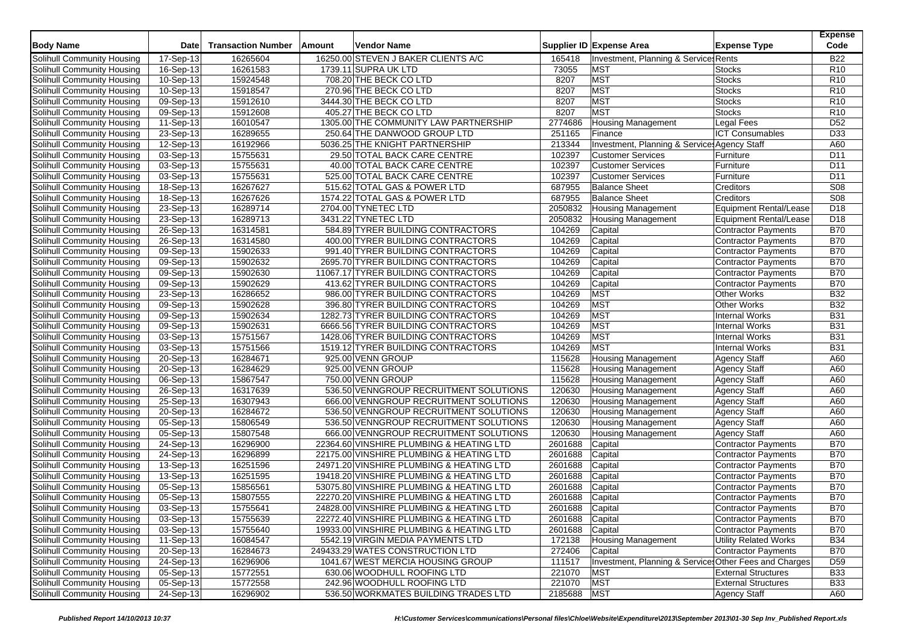| <b>Body Name</b>                                         | Date                    | <b>Transaction Number</b> | Amount | <b>Vendor Name</b>                       |               | Supplier ID Expense Area                               | <b>Expense Type</b>           | <b>Expense</b><br>Code |
|----------------------------------------------------------|-------------------------|---------------------------|--------|------------------------------------------|---------------|--------------------------------------------------------|-------------------------------|------------------------|
| Solihull Community Housing                               | 17-Sep-13               | 16265604                  |        | 16250.00 STEVEN J BAKER CLIENTS A/C      | 165418        | Investment, Planning & Service Rents                   |                               | <b>B22</b>             |
| Solihull Community Housing                               | 16-Sep-13               | 16261583                  |        | 1739.11 SUPRA UK LTD                     | 73055         | <b>MST</b>                                             | <b>Stocks</b>                 | R <sub>10</sub>        |
| Solihull Community Housing                               | 10-Sep-13               | 15924548                  |        | 708.20 THE BECK CO LTD                   | 8207          | <b>MST</b>                                             | <b>Stocks</b>                 | R <sub>10</sub>        |
| Solihull Community Housing                               | 10-Sep-13               | 15918547                  |        | 270.96 THE BECK CO LTD                   | 8207          | <b>MST</b>                                             | <b>Stocks</b>                 | R10                    |
| Solihull Community Housing                               | 09-Sep-13               | 15912610                  |        | 3444.30 THE BECK CO LTD                  | 8207          | <b>MST</b>                                             | <b>Stocks</b>                 | R <sub>10</sub>        |
| Solihull Community Housing                               | $09-Sep-13$             | 15912608                  |        | 405.27 THE BECK CO LTD                   | 8207          | <b>MST</b>                                             | <b>Stocks</b>                 | R <sub>10</sub>        |
|                                                          | 11-Sep-13               | 16010547                  |        | 1305.00 THE COMMUNITY LAW PARTNERSHIP    | 2774686       | <b>Housing Management</b>                              | Legal Fees                    | D52                    |
| Solihull Community Housing                               | 23-Sep-13               | 16289655                  |        | 250.64 THE DANWOOD GROUP LTD             | 251165        | Finance                                                | <b>ICT Consumables</b>        | D33                    |
| Solihull Community Housing<br>Solihull Community Housing |                         |                           |        |                                          | 213344        |                                                        |                               | A60                    |
|                                                          | 12-Sep-13               | 16192966                  |        | 5036.25 THE KNIGHT PARTNERSHIP           |               | Investment, Planning & Services Agency Staff           |                               |                        |
| Solihull Community Housing                               | 03-Sep-13               | 15755631                  |        | 29.50 TOTAL BACK CARE CENTRE             | 102397        | <b>Customer Services</b>                               | Furniture                     | D11                    |
| Solihull Community Housing                               | 03-Sep-13               | 15755631                  |        | 40.00 TOTAL BACK CARE CENTRE             | 102397        | <b>Customer Services</b>                               | Furniture                     | D11                    |
| Solihull Community Housing                               | 03-Sep-13               | 15755631                  |        | 525.00 TOTAL BACK CARE CENTRE            | 102397        | <b>Customer Services</b>                               | Furniture                     | D11                    |
| Solihull Community Housing                               | 18-Sep-13               | 16267627                  |        | 515.62 TOTAL GAS & POWER LTD             | 687955        | <b>Balance Sheet</b>                                   | Creditors                     | S <sub>08</sub>        |
| Solihull Community Housing                               | 18-Sep-13               | 16267626                  |        | 1574.22 TOTAL GAS & POWER LTD            | 687955        | <b>Balance Sheet</b>                                   | Creditors                     | S08                    |
| Solihull Community Housing                               | $23-Sep-13$             | 16289714                  |        | 2704.00 TYNETEC LTD                      | 2050832       | <b>Housing Management</b>                              | Equipment Rental/Lease        | D <sub>18</sub>        |
| Solihull Community Housing                               | 23-Sep-13               | 16289713                  |        | 3431.22 TYNETEC LTD                      | 2050832       | <b>Housing Management</b>                              | <b>Equipment Rental/Lease</b> | D18                    |
| Solihull Community Housing                               | 26-Sep-13               | 16314581                  |        | 584.89 TYRER BUILDING CONTRACTORS        | 104269        | Capital                                                | <b>Contractor Payments</b>    | <b>B70</b>             |
| Solihull Community Housing                               | 26-Sep-13               | 16314580                  |        | 400.00 TYRER BUILDING CONTRACTORS        | 104269        | Capital                                                | Contractor Payments           | <b>B70</b>             |
| Solihull Community Housing                               | 09-Sep-13               | 15902633                  |        | 991.40 TYRER BUILDING CONTRACTORS        | 104269        | Capital                                                | Contractor Payments           | <b>B70</b>             |
| Solihull Community Housing                               | 09-Sep-13               | 15902632                  |        | 2695.70 TYRER BUILDING CONTRACTORS       | 104269        | Capital                                                | <b>Contractor Payments</b>    | <b>B70</b>             |
| Solihull Community Housing                               | 09-Sep-13               | 15902630                  |        | 11067.17 TYRER BUILDING CONTRACTORS      | 104269        | Capital                                                | Contractor Payments           | <b>B70</b>             |
| Solihull Community Housing                               | 09-Sep-13               | 15902629                  |        | 413.62 TYRER BUILDING CONTRACTORS        | 104269        | Capital                                                | <b>Contractor Payments</b>    | <b>B70</b>             |
| Solihull Community Housing                               | 23-Sep-13               | 16286652                  |        | 986.00 TYRER BUILDING CONTRACTORS        | 104269        | <b>MST</b>                                             | <b>Other Works</b>            | <b>B32</b>             |
| Solihull Community Housing                               | 09-Sep-13               | 15902628                  |        | 396.80 TYRER BUILDING CONTRACTORS        | 104269        | <b>MST</b>                                             | <b>Other Works</b>            | <b>B32</b>             |
| Solihull Community Housing                               | 09-Sep-13               | 15902634                  |        | 1282.73 TYRER BUILDING CONTRACTORS       | 104269        | <b>MST</b>                                             | <b>Internal Works</b>         | <b>B31</b>             |
| Solihull Community Housing                               | 09-Sep-13               | 15902631                  |        | 6666.56 TYRER BUILDING CONTRACTORS       | 104269        | <b>MST</b>                                             | <b>Internal Works</b>         | <b>B31</b>             |
| Solihull Community Housing                               | $\overline{03}$ -Sep-13 | 15751567                  |        | 1428.06 TYRER BUILDING CONTRACTORS       | 104269        | <b>MST</b>                                             | <b>Internal Works</b>         | <b>B31</b>             |
| Solihull Community Housing                               | 03-Sep-13               | 15751566                  |        | 1519.12 TYRER BUILDING CONTRACTORS       | 104269        | <b>MST</b>                                             | <b>Internal Works</b>         | <b>B31</b>             |
| Solihull Community Housing                               | $20-Sep-13$             | 16284671                  |        | 925.00 VENN GROUP                        | 115628        | <b>Housing Management</b>                              | <b>Agency Staff</b>           | A60                    |
| Solihull Community Housing                               | 20-Sep-13               | 16284629                  |        | 925.00 VENN GROUP                        | 115628        | <b>Housing Management</b>                              | <b>Agency Staff</b>           | A60                    |
| Solihull Community Housing                               | 06-Sep-13               | 15867547                  |        | 750.00 VENN GROUP                        | 115628        | <b>Housing Management</b>                              | <b>Agency Staff</b>           | A60                    |
| Solihull Community Housing                               | 26-Sep-13               | 16317639                  |        | 536.50 VENNGROUP RECRUITMENT SOLUTIONS   | 120630        | <b>Housing Management</b>                              | <b>Agency Staff</b>           | A60                    |
| Solihull Community Housing                               | 25-Sep-13               | 16307943                  |        | 666.00 VENNGROUP RECRUITMENT SOLUTIONS   | 120630        | <b>Housing Management</b>                              | <b>Agency Staff</b>           | A60                    |
| Solihull Community Housing                               | 20-Sep-13               | 16284672                  |        | 536.50 VENNGROUP RECRUITMENT SOLUTIONS   | 120630        | <b>Housing Management</b>                              | <b>Agency Staff</b>           | A60                    |
| Solihull Community Housing                               | 05-Sep-13               | 15806549                  |        | 536.50 VENNGROUP RECRUITMENT SOLUTIONS   | 120630        | <b>Housing Management</b>                              | <b>Agency Staff</b>           | A60                    |
| Solihull Community Housing                               | 05-Sep-13               | 15807548                  |        | 666.00 VENNGROUP RECRUITMENT SOLUTIONS   | 120630        | <b>Housing Management</b>                              | <b>Agency Staff</b>           | A60                    |
| Solihull Community Housing                               | 24-Sep-13               | 16296900                  |        | 22364.60 VINSHIRE PLUMBING & HEATING LTD | 2601688       | Capital                                                | <b>Contractor Payments</b>    | <b>B70</b>             |
| Solihull Community Housing                               | 24-Sep-13               | 16296899                  |        | 22175.00 VINSHIRE PLUMBING & HEATING LTD | 2601688       | Capital                                                | <b>Contractor Payments</b>    | <b>B70</b>             |
| Solihull Community Housing                               | $13-Sep-13$             | 16251596                  |        | 24971.20 VINSHIRE PLUMBING & HEATING LTD | 2601688       | Capital                                                | <b>Contractor Payments</b>    | <b>B70</b>             |
| Solihull Community Housing                               | 13-Sep-13               | 16251595                  |        | 19418.20 VINSHIRE PLUMBING & HEATING LTD | 2601688       | Capital                                                | <b>Contractor Payments</b>    | <b>B70</b>             |
| Solihull Community Housing                               | 05-Sep-13               | 15856561                  |        | 53075.80 VINSHIRE PLUMBING & HEATING LTD | 2601688       | Capital                                                | <b>Contractor Payments</b>    | <b>B70</b>             |
| Solihull Community Housing                               | 05-Sep-13               | 15807555                  |        | 22270.20 VINSHIRE PLUMBING & HEATING LTD | 2601688       | Capital                                                | <b>Contractor Payments</b>    | <b>B70</b>             |
| Solihull Community Housing                               | 03-Sep-13               | 15755641                  |        | 24828.00 VINSHIRE PLUMBING & HEATING LTD | 2601688       | Capital                                                | <b>Contractor Payments</b>    | <b>B70</b>             |
| Solihull Community Housing                               | 03-Sep-13               |                           |        | 22272.40 VINSHIRE PLUMBING & HEATING LTD | 2601688       |                                                        | Contractor Payments           | <b>B70</b>             |
|                                                          |                         | 15755639                  |        |                                          | 2601688       | Capital                                                |                               | <b>B70</b>             |
| Solihull Community Housing                               | 03-Sep-13               | 15755640                  |        | 19933.00 VINSHIRE PLUMBING & HEATING LTD |               | Capital                                                | Contractor Payments           |                        |
| Solihull Community Housing                               | 11-Sep-13               | 16084547                  |        | 5542.19 VIRGIN MEDIA PAYMENTS LTD        | 172138        | <b>Housing Management</b>                              | <b>Utility Related Works</b>  | <b>B34</b>             |
| Solihull Community Housing                               | 20-Sep-13               | 16284673                  |        | 249433.29 WATES CONSTRUCTION LTD         | 272406        | Capital                                                | Contractor Payments           | <b>B70</b>             |
| Solihull Community Housing                               | 24-Sep-13               | 16296906                  |        | 1041.67 WEST MERCIA HOUSING GROUP        | 111517        | Investment, Planning & Services Other Fees and Charges |                               | D <sub>59</sub>        |
| Solihull Community Housing                               | 05-Sep-13               | 15772551                  |        | 630.06 WOODHULL ROOFING LTD              | 221070        | <b>MST</b>                                             | <b>External Structures</b>    | <b>B33</b>             |
| Solihull Community Housing                               | 05-Sep-13               | 15772558                  |        | 242.96 WOODHULL ROOFING LTD              | 221070        | <b>MST</b>                                             | <b>External Structures</b>    | <b>B33</b>             |
| Solihull Community Housing                               | 24-Sep-13               | 16296902                  |        | 536.50 WORKMATES BUILDING TRADES LTD     | 2185688   MST |                                                        | <b>Agency Staff</b>           | A60                    |